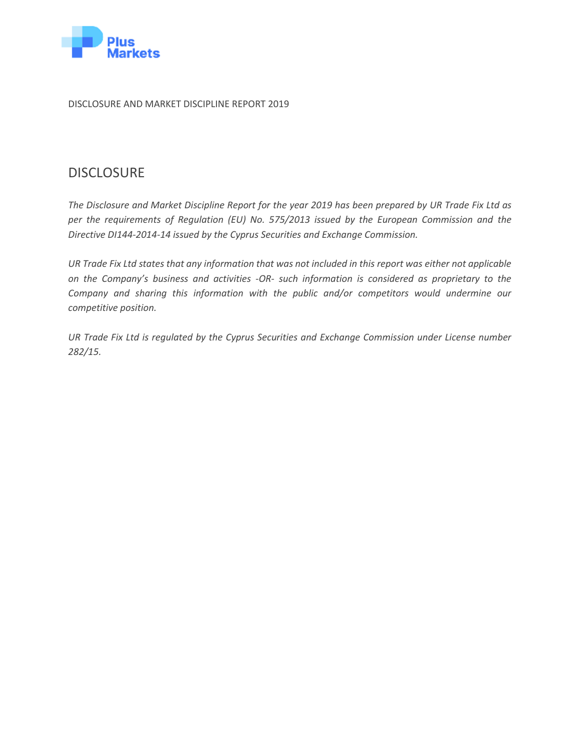

DISCLOSURE AND MARKET DISCIPLINE REPORT 2019

### **DISCLOSURE**

*The Disclosure and Market Discipline Report for the year 2019 has been prepared by UR Trade Fix Ltd as per the requirements of Regulation (EU) No. 575/2013 issued by the European Commission and the Directive DI144-2014-14 issued by the Cyprus Securities and Exchange Commission.*

*UR Trade Fix Ltd states that any information that was not included in this report was either not applicable on the Company's business and activities -OR- such information is considered as proprietary to the Company and sharing this information with the public and/or competitors would undermine our competitive position.* 

*UR Trade Fix Ltd is regulated by the Cyprus Securities and Exchange Commission under License number 282/15.*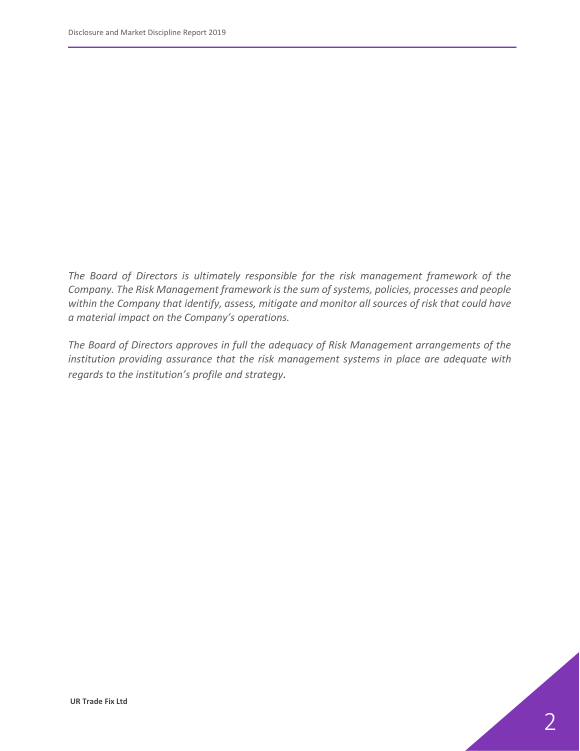*The Board of Directors is ultimately responsible for the risk management framework of the Company. The Risk Management framework is the sum of systems, policies, processes and people within the Company that identify, assess, mitigate and monitor all sources of risk that could have a material impact on the Company's operations.*

*The Board of Directors approves in full the adequacy of Risk Management arrangements of the institution providing assurance that the risk management systems in place are adequate with regards to the institution's profile and strategy.*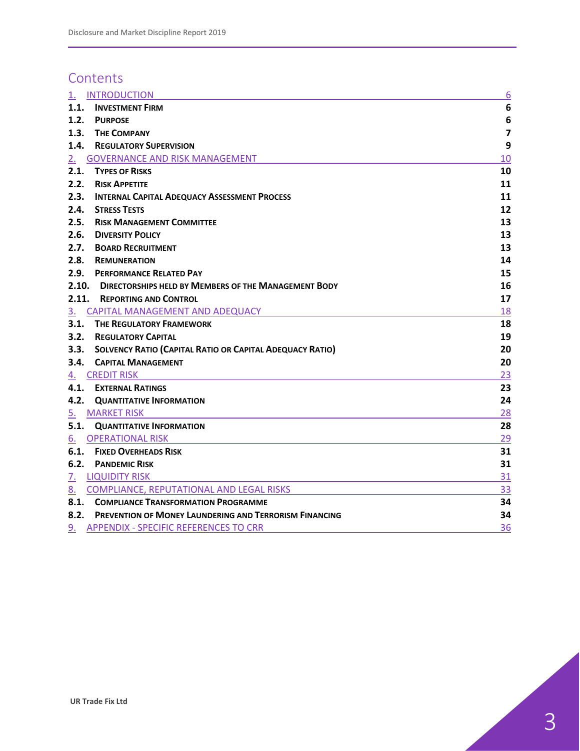## **Contents**

| <u>1.</u>      | <b>INTRODUCTION</b>                                             | 6                       |
|----------------|-----------------------------------------------------------------|-------------------------|
| 1.1.           | <b>INVESTMENT FIRM</b>                                          | 6                       |
| 1.2.           | <b>PURPOSE</b>                                                  | 6                       |
| 1.3.           | <b>THE COMPANY</b>                                              | $\overline{\mathbf{z}}$ |
| 1.4.           | <b>REGULATORY SUPERVISION</b>                                   | 9                       |
| 2.             | <b>GOVERNANCE AND RISK MANAGEMENT</b>                           | 10                      |
| 2.1.           | <b>TYPES OF RISKS</b>                                           | 10                      |
| 2.2.           | <b>RISK APPETITE</b>                                            | 11                      |
| 2.3.           | <b>INTERNAL CAPITAL ADEQUACY ASSESSMENT PROCESS</b>             | 11                      |
| 2.4.           | <b>STRESS TESTS</b>                                             | 12                      |
| 2.5.           | <b>RISK MANAGEMENT COMMITTEE</b>                                | 13                      |
| 2.6.           | <b>DIVERSITY POLICY</b>                                         | 13                      |
| 2.7.           | <b>BOARD RECRUITMENT</b>                                        | 13                      |
| 2.8.           | <b>REMUNERATION</b>                                             | 14                      |
| 2.9.           | <b>PERFORMANCE RELATED PAY</b>                                  | 15                      |
| 2.10.          | <b>DIRECTORSHIPS HELD BY MEMBERS OF THE MANAGEMENT BODY</b>     | 16                      |
| 2.11.          | <b>REPORTING AND CONTROL</b>                                    | 17                      |
| 3 <sub>1</sub> | CAPITAL MANAGEMENT AND ADEQUACY                                 | 18                      |
| 3.1.           | <b>THE REGULATORY FRAMEWORK</b>                                 | 18                      |
| 3.2.           | <b>REGULATORY CAPITAL</b>                                       | 19                      |
| 3.3.           | <b>SOLVENCY RATIO (CAPITAL RATIO OR CAPITAL ADEQUACY RATIO)</b> | 20                      |
| 3.4.           | <b>CAPITAL MANAGEMENT</b>                                       | 20                      |
| <u>4.</u>      | <b>CREDIT RISK</b>                                              | 23                      |
| 4.1.           | <b>EXTERNAL RATINGS</b>                                         | 23                      |
| 4.2.           | <b>QUANTITATIVE INFORMATION</b>                                 | 24                      |
| 5.             | <b>MARKET RISK</b>                                              | 28                      |
|                | <b>5.1. QUANTITATIVE INFORMATION</b>                            | 28                      |
| 6.             | <b>OPERATIONAL RISK</b>                                         | 29                      |
| 6.1.           | <b>FIXED OVERHEADS RISK</b>                                     | 31                      |
| 6.2.           | <b>PANDEMIC RISK</b>                                            | 31                      |
| <u>7.</u>      | <b>LIQUIDITY RISK</b>                                           | 31                      |
|                | 8. COMPLIANCE, REPUTATIONAL AND LEGAL RISKS                     | 33                      |
|                | 8.1. COMPLIANCE TRANSFORMATION PROGRAMME                        | 34                      |
|                | 8.2. PREVENTION OF MONEY LAUNDERING AND TERRORISM FINANCING     | 34                      |
| 9.             | <b>APPENDIX - SPECIFIC REFERENCES TO CRR</b>                    | 36                      |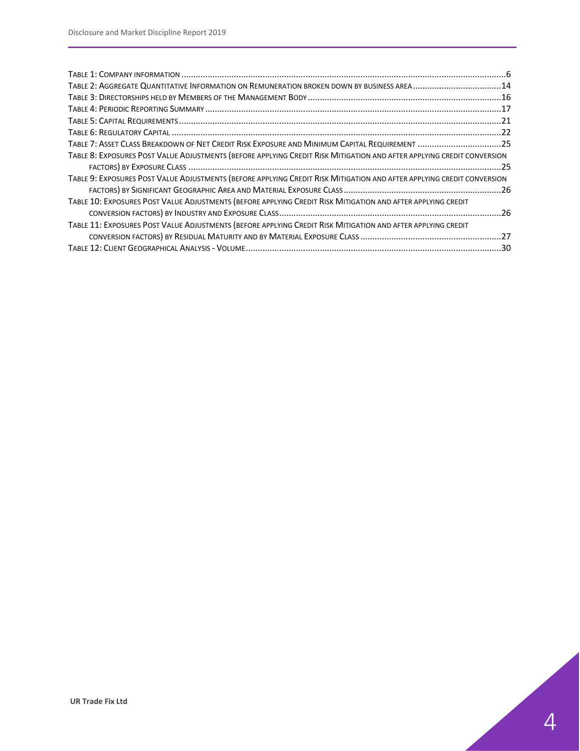| TABLE 2: AGGREGATE QUANTITATIVE INFORMATION ON REMUNERATION BROKEN DOWN BY BUSINESS AREA 14                            |  |
|------------------------------------------------------------------------------------------------------------------------|--|
|                                                                                                                        |  |
|                                                                                                                        |  |
|                                                                                                                        |  |
|                                                                                                                        |  |
| TABLE 7: ASSET CLASS BREAKDOWN OF NET CREDIT RISK EXPOSURE AND MINIMUM CAPITAL REQUIREMENT 25                          |  |
| TABLE 8: EXPOSURES POST VALUE ADJUSTMENTS (BEFORE APPLYING CREDIT RISK MITIGATION AND AFTER APPLYING CREDIT CONVERSION |  |
|                                                                                                                        |  |
| TABLE 9: EXPOSURES POST VALUE ADJUSTMENTS (BEFORE APPLYING CREDIT RISK MITIGATION AND AFTER APPLYING CREDIT CONVERSION |  |
|                                                                                                                        |  |
| TABLE 10: EXPOSURES POST VALUE ADJUSTMENTS (BEFORE APPLYING CREDIT RISK MITIGATION AND AFTER APPLYING CREDIT           |  |
|                                                                                                                        |  |
| TABLE 11: EXPOSURES POST VALUE ADJUSTMENTS (BEFORE APPLYING CREDIT RISK MITIGATION AND AFTER APPLYING CREDIT           |  |
|                                                                                                                        |  |
|                                                                                                                        |  |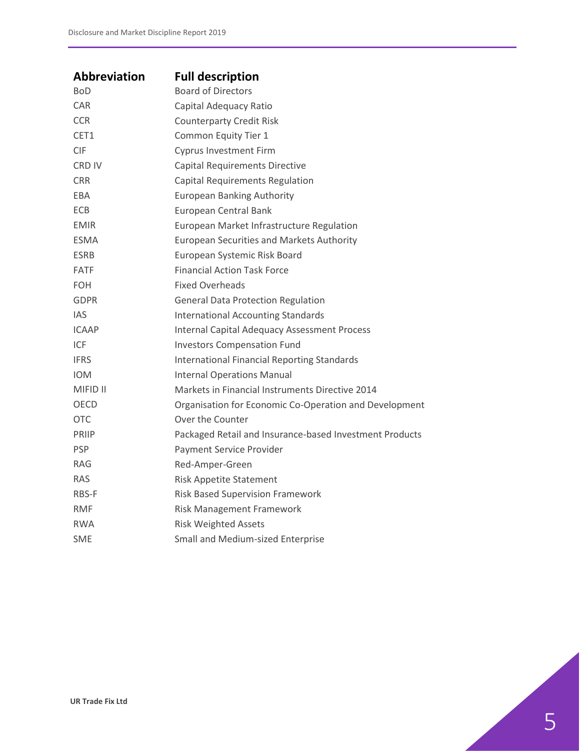| <b>Abbreviation</b> | <b>Full description</b>                                 |
|---------------------|---------------------------------------------------------|
| <b>BoD</b>          | <b>Board of Directors</b>                               |
| <b>CAR</b>          | Capital Adequacy Ratio                                  |
| <b>CCR</b>          | <b>Counterparty Credit Risk</b>                         |
| CET <sub>1</sub>    | Common Equity Tier 1                                    |
| <b>CIF</b>          | <b>Cyprus Investment Firm</b>                           |
| <b>CRD IV</b>       | <b>Capital Requirements Directive</b>                   |
| <b>CRR</b>          | Capital Requirements Regulation                         |
| EBA                 | <b>European Banking Authority</b>                       |
| <b>ECB</b>          | European Central Bank                                   |
| <b>EMIR</b>         | European Market Infrastructure Regulation               |
| <b>ESMA</b>         | <b>European Securities and Markets Authority</b>        |
| <b>ESRB</b>         | European Systemic Risk Board                            |
| <b>FATF</b>         | <b>Financial Action Task Force</b>                      |
| <b>FOH</b>          | <b>Fixed Overheads</b>                                  |
| <b>GDPR</b>         | <b>General Data Protection Regulation</b>               |
| <b>IAS</b>          | <b>International Accounting Standards</b>               |
| <b>ICAAP</b>        | <b>Internal Capital Adequacy Assessment Process</b>     |
| ICF                 | <b>Investors Compensation Fund</b>                      |
| <b>IFRS</b>         | <b>International Financial Reporting Standards</b>      |
| <b>IOM</b>          | <b>Internal Operations Manual</b>                       |
| <b>MIFID II</b>     | Markets in Financial Instruments Directive 2014         |
| <b>OECD</b>         | Organisation for Economic Co-Operation and Development  |
| <b>OTC</b>          | Over the Counter                                        |
| <b>PRIIP</b>        | Packaged Retail and Insurance-based Investment Products |
| <b>PSP</b>          | Payment Service Provider                                |
| RAG                 | Red-Amper-Green                                         |
| <b>RAS</b>          | <b>Risk Appetite Statement</b>                          |
| RBS-F               | Risk Based Supervision Framework                        |
| <b>RMF</b>          | <b>Risk Management Framework</b>                        |
| <b>RWA</b>          | <b>Risk Weighted Assets</b>                             |
| SME                 | Small and Medium-sized Enterprise                       |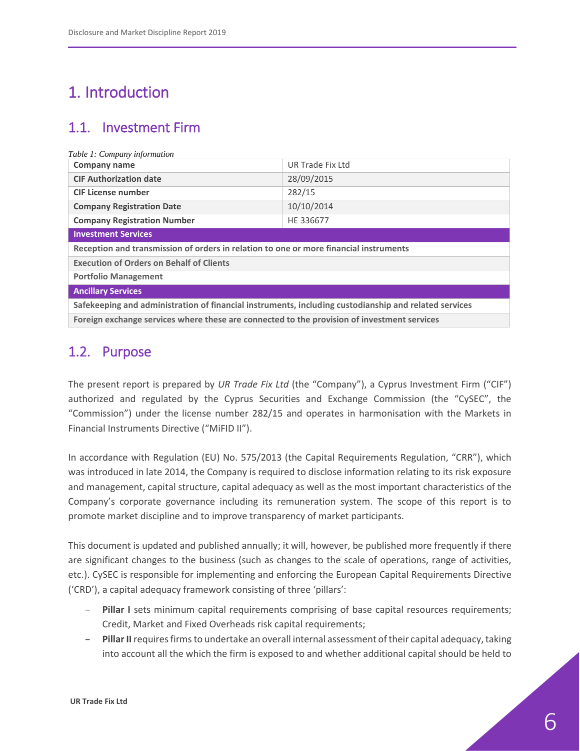# <span id="page-5-0"></span>1. Introduction

## <span id="page-5-1"></span>1.1. Investment Firm

<span id="page-5-3"></span>

| Table 1: Company information                                                                          |                  |  |  |  |  |
|-------------------------------------------------------------------------------------------------------|------------------|--|--|--|--|
| <b>Company name</b>                                                                                   | UR Trade Fix Ltd |  |  |  |  |
| <b>CIF Authorization date</b><br>28/09/2015                                                           |                  |  |  |  |  |
| 282/15<br><b>CIF License number</b>                                                                   |                  |  |  |  |  |
| 10/10/2014<br><b>Company Registration Date</b>                                                        |                  |  |  |  |  |
| <b>Company Registration Number</b><br>HE 336677                                                       |                  |  |  |  |  |
| <b>Investment Services</b>                                                                            |                  |  |  |  |  |
| Reception and transmission of orders in relation to one or more financial instruments                 |                  |  |  |  |  |
| <b>Execution of Orders on Behalf of Clients</b>                                                       |                  |  |  |  |  |
| <b>Portfolio Management</b>                                                                           |                  |  |  |  |  |
| <b>Ancillary Services</b>                                                                             |                  |  |  |  |  |
| Safekeeping and administration of financial instruments, including custodianship and related services |                  |  |  |  |  |
| Foreign exchange services where these are connected to the provision of investment services           |                  |  |  |  |  |

### <span id="page-5-2"></span>1.2. Purpose

The present report is prepared by *UR Trade Fix Ltd* (the "Company"), a Cyprus Investment Firm ("CIF") authorized and regulated by the Cyprus Securities and Exchange Commission (the "CySEC", the "Commission") under the license number 282/15 and operates in harmonisation with the Markets in Financial Instruments Directive ("MiFID II").

In accordance with Regulation (EU) No. 575/2013 (the Capital Requirements Regulation, "CRR"), which was introduced in late 2014, the Company is required to disclose information relating to its risk exposure and management, capital structure, capital adequacy as well as the most important characteristics of the Company's corporate governance including its remuneration system. The scope of this report is to promote market discipline and to improve transparency of market participants.

This document is updated and published annually; it will, however, be published more frequently if there are significant changes to the business (such as changes to the scale of operations, range of activities, etc.). CySEC is responsible for implementing and enforcing the European Capital Requirements Directive ('CRD'), a capital adequacy framework consisting of three 'pillars':

- **Pillar I** sets minimum capital requirements comprising of base capital resources requirements; Credit, Market and Fixed Overheads risk capital requirements;
- **Pillar II**requires firms to undertake an overall internal assessment of their capital adequacy, taking into account all the which the firm is exposed to and whether additional capital should be held to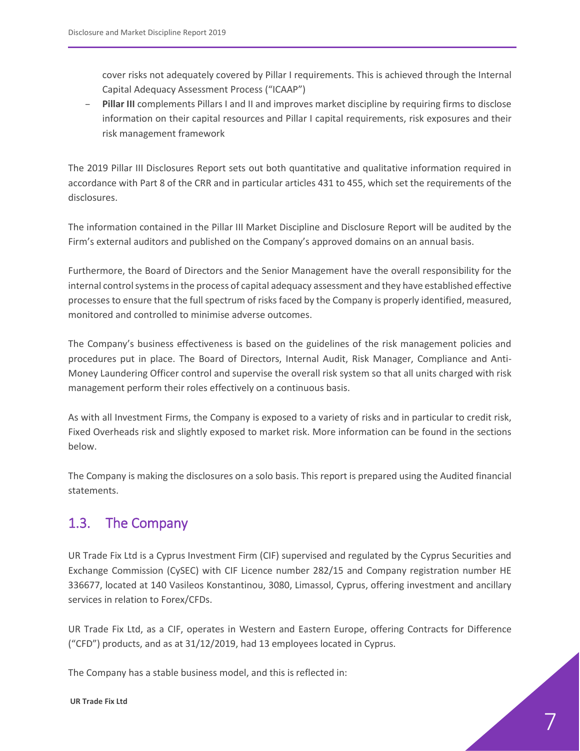cover risks not adequately covered by Pillar I requirements. This is achieved through the Internal Capital Adequacy Assessment Process ("ICAAP")

– **Pillar III** complements Pillars I and II and improves market discipline by requiring firms to disclose information on their capital resources and Pillar I capital requirements, risk exposures and their risk management framework

The 2019 Pillar III Disclosures Report sets out both quantitative and qualitative information required in accordance with Part 8 of the CRR and in particular articles 431 to 455, which set the requirements of the disclosures.

The information contained in the Pillar III Market Discipline and Disclosure Report will be audited by the Firm's external auditors and published on the Company's approved domains on an annual basis.

Furthermore, the Board of Directors and the Senior Management have the overall responsibility for the internal control systemsin the process of capital adequacy assessment and they have established effective processes to ensure that the full spectrum of risks faced by the Company is properly identified, measured, monitored and controlled to minimise adverse outcomes.

The Company's business effectiveness is based on the guidelines of the risk management policies and procedures put in place. The Board of Directors, Internal Audit, Risk Manager, Compliance and Anti-Money Laundering Officer control and supervise the overall risk system so that all units charged with risk management perform their roles effectively on a continuous basis.

As with all Investment Firms, the Company is exposed to a variety of risks and in particular to credit risk, Fixed Overheads risk and slightly exposed to market risk. More information can be found in the sections below.

The Company is making the disclosures on a solo basis. This report is prepared using the Audited financial statements.

## <span id="page-6-0"></span>1.3. The Company

UR Trade Fix Ltd is a Cyprus Investment Firm (CIF) supervised and regulated by the Cyprus Securities and Exchange Commission (CySEC) with CIF Licence number 282/15 and Company registration number HE 336677, located at 140 Vasileos Konstantinou, 3080, Limassol, Cyprus, offering investment and ancillary services in relation to Forex/CFDs.

UR Trade Fix Ltd, as a CIF, operates in Western and Eastern Europe, offering Contracts for Difference ("CFD") products, and as at 31/12/2019, had 13 employees located in Cyprus.

The Company has a stable business model, and this is reflected in:

**UR Trade Fix Ltd**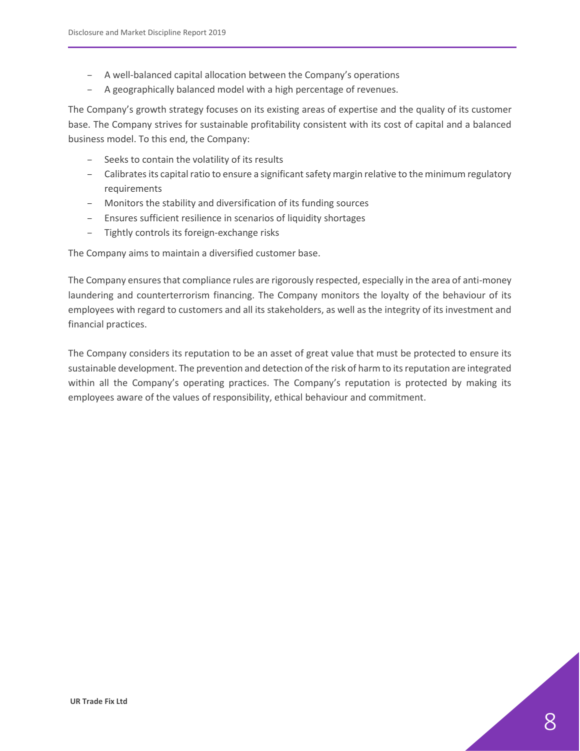- A well-balanced capital allocation between the Company's operations
- A geographically balanced model with a high percentage of revenues.

The Company's growth strategy focuses on its existing areas of expertise and the quality of its customer base. The Company strives for sustainable profitability consistent with its cost of capital and a balanced business model. To this end, the Company:

- Seeks to contain the volatility of its results
- Calibrates its capital ratio to ensure a significant safety margin relative to the minimum regulatory requirements
- Monitors the stability and diversification of its funding sources
- Ensures sufficient resilience in scenarios of liquidity shortages
- Tightly controls its foreign-exchange risks

The Company aims to maintain a diversified customer base.

The Company ensures that compliance rules are rigorously respected, especially in the area of anti-money laundering and counterterrorism financing. The Company monitors the loyalty of the behaviour of its employees with regard to customers and all its stakeholders, as well as the integrity of its investment and financial practices.

The Company considers its reputation to be an asset of great value that must be protected to ensure its sustainable development. The prevention and detection of the risk of harm to its reputation are integrated within all the Company's operating practices. The Company's reputation is protected by making its employees aware of the values of responsibility, ethical behaviour and commitment.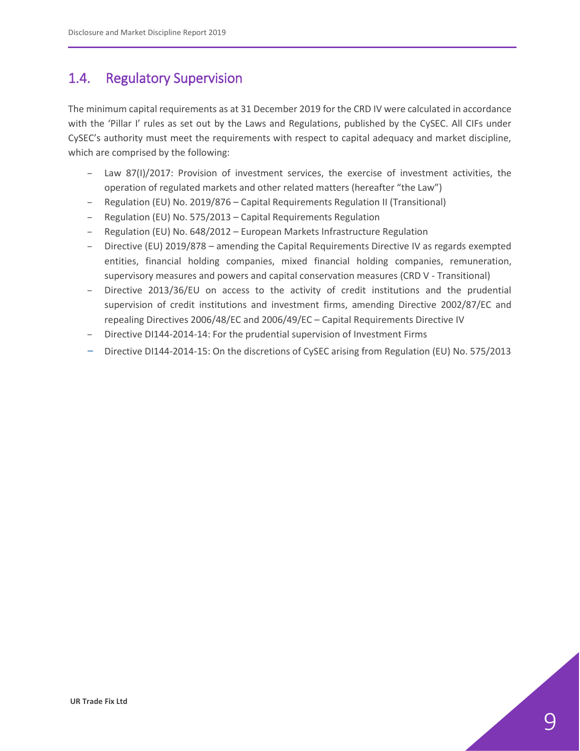### <span id="page-8-0"></span>1.4. Regulatory Supervision

The minimum capital requirements as at 31 December 2019 for the CRD IV were calculated in accordance with the 'Pillar I' rules as set out by the Laws and Regulations, published by the CySEC. All CIFs under CySEC's authority must meet the requirements with respect to capital adequacy and market discipline, which are comprised by the following:

- Law 87(I)/2017: Provision of investment services, the exercise of investment activities, the operation of regulated markets and other related matters (hereafter "the Law")
- Regulation (EU) No. 2019/876 Capital Requirements Regulation II (Transitional)
- Regulation (EU) No. 575/2013 Capital Requirements Regulation
- Regulation (EU) No. 648/2012 European Markets Infrastructure Regulation
- Directive (EU) 2019/878 amending the Capital Requirements Directive IV as regards exempted entities, financial holding companies, mixed financial holding companies, remuneration, supervisory measures and powers and capital conservation measures (CRD V - Transitional)
- Directive 2013/36/EU on access to the activity of credit institutions and the prudential supervision of credit institutions and investment firms, amending Directive 2002/87/EC and repealing Directives 2006/48/EC and 2006/49/EC – Capital Requirements Directive IV
- Directive DI144-2014-14: For the prudential supervision of Investment Firms
- Directive DI144-2014-15: On the discretions of CySEC arising from Regulation (EU) No. 575/2013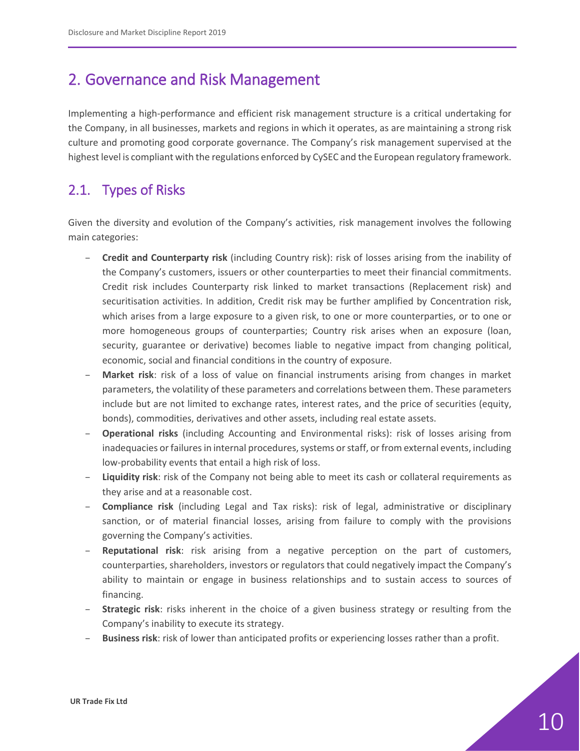# <span id="page-9-0"></span>2. Governance and Risk Management

Implementing a high-performance and efficient risk management structure is a critical undertaking for the Company, in all businesses, markets and regions in which it operates, as are maintaining a strong risk culture and promoting good corporate governance. The Company's risk management supervised at the highest level is compliant with the regulations enforced by CySEC and the European regulatory framework.

## <span id="page-9-1"></span>2.1. Types of Risks

Given the diversity and evolution of the Company's activities, risk management involves the following main categories:

- **Credit and Counterparty risk** (including Country risk): risk of losses arising from the inability of the Company's customers, issuers or other counterparties to meet their financial commitments. Credit risk includes Counterparty risk linked to market transactions (Replacement risk) and securitisation activities. In addition, Credit risk may be further amplified by Concentration risk, which arises from a large exposure to a given risk, to one or more counterparties, or to one or more homogeneous groups of counterparties; Country risk arises when an exposure (loan, security, guarantee or derivative) becomes liable to negative impact from changing political, economic, social and financial conditions in the country of exposure.
- **Market risk**: risk of a loss of value on financial instruments arising from changes in market parameters, the volatility of these parameters and correlations between them. These parameters include but are not limited to exchange rates, interest rates, and the price of securities (equity, bonds), commodities, derivatives and other assets, including real estate assets.
- **Operational risks** (including Accounting and Environmental risks): risk of losses arising from inadequacies or failures in internal procedures, systems or staff, or from external events, including low-probability events that entail a high risk of loss.
- **Liquidity risk**: risk of the Company not being able to meet its cash or collateral requirements as they arise and at a reasonable cost.
- **Compliance risk** (including Legal and Tax risks): risk of legal, administrative or disciplinary sanction, or of material financial losses, arising from failure to comply with the provisions governing the Company's activities.
- **Reputational risk**: risk arising from a negative perception on the part of customers, counterparties, shareholders, investors or regulators that could negatively impact the Company's ability to maintain or engage in business relationships and to sustain access to sources of financing.
- **Strategic risk**: risks inherent in the choice of a given business strategy or resulting from the Company's inability to execute its strategy.
- **Business risk**: risk of lower than anticipated profits or experiencing losses rather than a profit.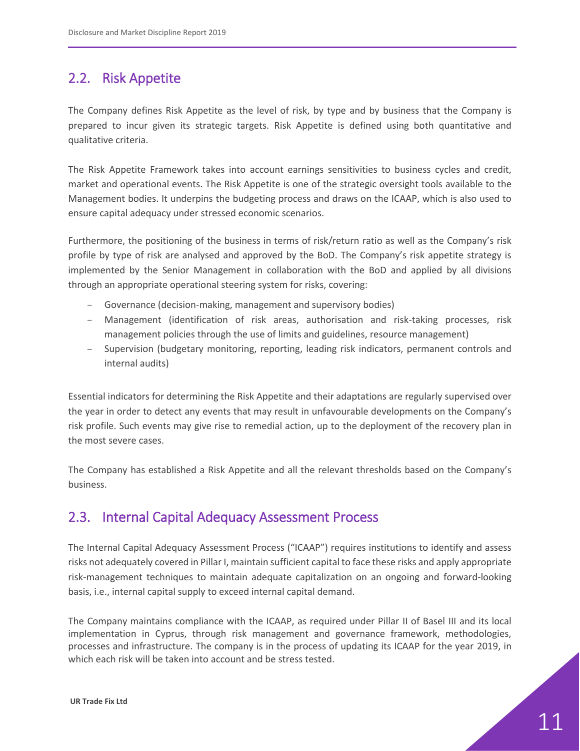### <span id="page-10-0"></span>2.2. Risk Appetite

The Company defines Risk Appetite as the level of risk, by type and by business that the Company is prepared to incur given its strategic targets. Risk Appetite is defined using both quantitative and qualitative criteria.

The Risk Appetite Framework takes into account earnings sensitivities to business cycles and credit, market and operational events. The Risk Appetite is one of the strategic oversight tools available to the Management bodies. It underpins the budgeting process and draws on the ICAAP, which is also used to ensure capital adequacy under stressed economic scenarios.

Furthermore, the positioning of the business in terms of risk/return ratio as well as the Company's risk profile by type of risk are analysed and approved by the BoD. The Company's risk appetite strategy is implemented by the Senior Management in collaboration with the BoD and applied by all divisions through an appropriate operational steering system for risks, covering:

- Governance (decision-making, management and supervisory bodies)
- Management (identification of risk areas, authorisation and risk-taking processes, risk management policies through the use of limits and guidelines, resource management)
- Supervision (budgetary monitoring, reporting, leading risk indicators, permanent controls and internal audits)

Essential indicators for determining the Risk Appetite and their adaptations are regularly supervised over the year in order to detect any events that may result in unfavourable developments on the Company's risk profile. Such events may give rise to remedial action, up to the deployment of the recovery plan in the most severe cases.

The Company has established a Risk Appetite and all the relevant thresholds based on the Company's business.

### <span id="page-10-1"></span>2.3. Internal Capital Adequacy Assessment Process

The Internal Capital Adequacy Assessment Process ("ICAAP") requires institutions to identify and assess risks not adequately covered in Pillar I, maintain sufficient capital to face these risks and apply appropriate risk-management techniques to maintain adequate capitalization on an ongoing and forward-looking basis, i.e., internal capital supply to exceed internal capital demand.

The Company maintains compliance with the ICAAP, as required under Pillar II of Basel III and its local implementation in Cyprus, through risk management and governance framework, methodologies, processes and infrastructure. The company is in the process of updating its ICAAP for the year 2019, in which each risk will be taken into account and be stress tested.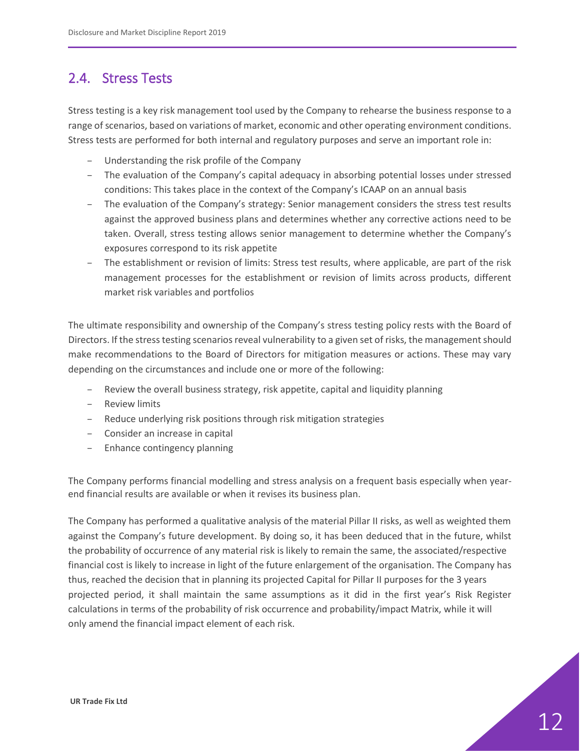### <span id="page-11-0"></span>2.4. Stress Tests

Stress testing is a key risk management tool used by the Company to rehearse the business response to a range of scenarios, based on variations of market, economic and other operating environment conditions. Stress tests are performed for both internal and regulatory purposes and serve an important role in:

- Understanding the risk profile of the Company
- The evaluation of the Company's capital adequacy in absorbing potential losses under stressed conditions: This takes place in the context of the Company's ICAAP on an annual basis
- The evaluation of the Company's strategy: Senior management considers the stress test results against the approved business plans and determines whether any corrective actions need to be taken. Overall, stress testing allows senior management to determine whether the Company's exposures correspond to its risk appetite
- The establishment or revision of limits: Stress test results, where applicable, are part of the risk management processes for the establishment or revision of limits across products, different market risk variables and portfolios

The ultimate responsibility and ownership of the Company's stress testing policy rests with the Board of Directors. If the stress testing scenarios reveal vulnerability to a given set of risks, the management should make recommendations to the Board of Directors for mitigation measures or actions. These may vary depending on the circumstances and include one or more of the following:

- Review the overall business strategy, risk appetite, capital and liquidity planning
- Review limits
- Reduce underlying risk positions through risk mitigation strategies
- Consider an increase in capital
- Enhance contingency planning

The Company performs financial modelling and stress analysis on a frequent basis especially when yearend financial results are available or when it revises its business plan.

The Company has performed a qualitative analysis of the material Pillar II risks, as well as weighted them against the Company's future development. By doing so, it has been deduced that in the future, whilst the probability of occurrence of any material risk is likely to remain the same, the associated/respective financial cost is likely to increase in light of the future enlargement of the organisation. The Company has thus, reached the decision that in planning its projected Capital for Pillar II purposes for the 3 years projected period, it shall maintain the same assumptions as it did in the first year's Risk Register calculations in terms of the probability of risk occurrence and probability/impact Matrix, while it will only amend the financial impact element of each risk.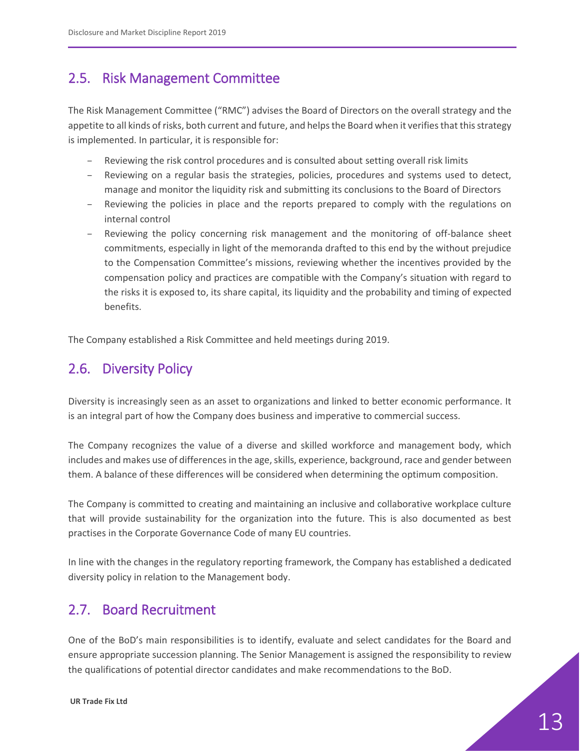## <span id="page-12-0"></span>2.5. Risk Management Committee

The Risk Management Committee ("RMC") advises the Board of Directors on the overall strategy and the appetite to all kinds of risks, both current and future, and helps the Board when it verifies that this strategy is implemented. In particular, it is responsible for:

- Reviewing the risk control procedures and is consulted about setting overall risk limits
- Reviewing on a regular basis the strategies, policies, procedures and systems used to detect, manage and monitor the liquidity risk and submitting its conclusions to the Board of Directors
- Reviewing the policies in place and the reports prepared to comply with the regulations on internal control
- Reviewing the policy concerning risk management and the monitoring of off-balance sheet commitments, especially in light of the memoranda drafted to this end by the without prejudice to the Compensation Committee's missions, reviewing whether the incentives provided by the compensation policy and practices are compatible with the Company's situation with regard to the risks it is exposed to, its share capital, its liquidity and the probability and timing of expected benefits.

The Company established a Risk Committee and held meetings during 2019.

## <span id="page-12-1"></span>2.6. Diversity Policy

Diversity is increasingly seen as an asset to organizations and linked to better economic performance. It is an integral part of how the Company does business and imperative to commercial success.

The Company recognizes the value of a diverse and skilled workforce and management body, which includes and makes use of differences in the age, skills, experience, background, race and gender between them. A balance of these differences will be considered when determining the optimum composition.

The Company is committed to creating and maintaining an inclusive and collaborative workplace culture that will provide sustainability for the organization into the future. This is also documented as best practises in the Corporate Governance Code of many EU countries.

In line with the changes in the regulatory reporting framework, the Company has established a dedicated diversity policy in relation to the Management body.

## <span id="page-12-2"></span>2.7. Board Recruitment

One of the BoD's main responsibilities is to identify, evaluate and select candidates for the Board and ensure appropriate succession planning. The Senior Management is assigned the responsibility to review the qualifications of potential director candidates and make recommendations to the BoD.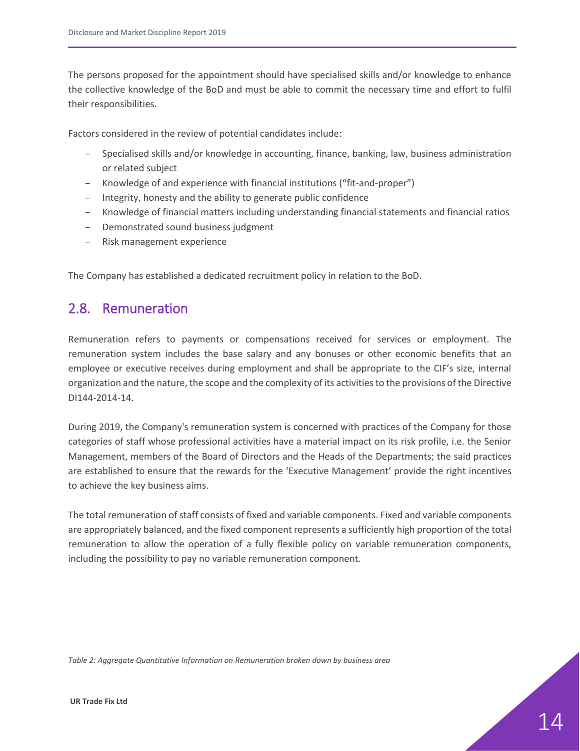The persons proposed for the appointment should have specialised skills and/or knowledge to enhance the collective knowledge of the BoD and must be able to commit the necessary time and effort to fulfil their responsibilities.

Factors considered in the review of potential candidates include:

- Specialised skills and/or knowledge in accounting, finance, banking, law, business administration or related subject
- Knowledge of and experience with financial institutions ("fit-and-proper")
- Integrity, honesty and the ability to generate public confidence
- Knowledge of financial matters including understanding financial statements and financial ratios
- Demonstrated sound business judgment
- Risk management experience

The Company has established a dedicated recruitment policy in relation to the BoD.

### <span id="page-13-0"></span>2.8. Remuneration

Remuneration refers to payments or compensations received for services or employment. The remuneration system includes the base salary and any bonuses or other economic benefits that an employee or executive receives during employment and shall be appropriate to the CIF's size, internal organization and the nature, the scope and the complexity of its activities to the provisions of the Directive DI144-2014-14.

During 2019, the Company's remuneration system is concerned with practices of the Company for those categories of staff whose professional activities have a material impact on its risk profile, i.e. the Senior Management, members of the Board of Directors and the Heads of the Departments; the said practices are established to ensure that the rewards for the 'Executive Management' provide the right incentives to achieve the key business aims.

The total remuneration of staff consists of fixed and variable components. Fixed and variable components are appropriately balanced, and the fixed component represents a sufficiently high proportion of the total remuneration to allow the operation of a fully flexible policy on variable remuneration components, including the possibility to pay no variable remuneration component.

<span id="page-13-1"></span>*Table 2: Aggregate Quantitative Information on Remuneration broken down by business area*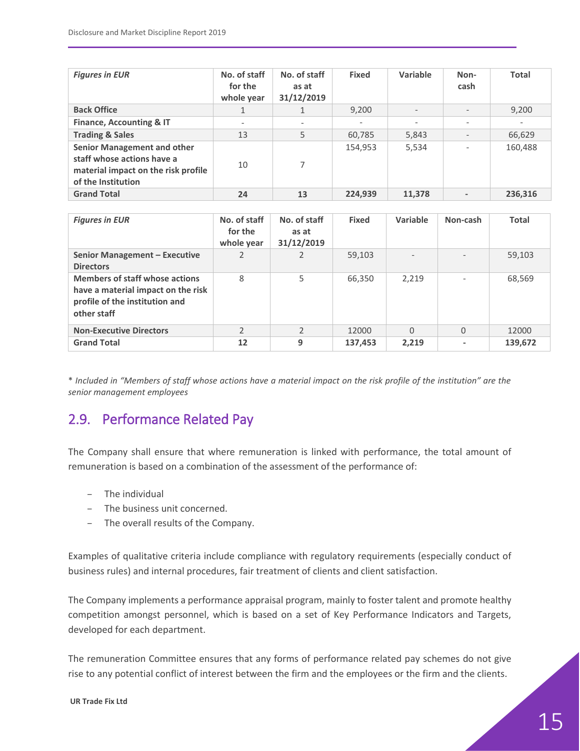| <b>Figures in EUR</b>                                                                                                         | No. of staff<br>for the<br>whole year | No. of staff<br>as at<br>31/12/2019 | <b>Fixed</b> | Variable                 | Non-<br>cash             | <b>Total</b>      |
|-------------------------------------------------------------------------------------------------------------------------------|---------------------------------------|-------------------------------------|--------------|--------------------------|--------------------------|-------------------|
| <b>Back Office</b>                                                                                                            |                                       |                                     | 9,200        | $\overline{\phantom{a}}$ |                          | 9,200             |
| <b>Finance, Accounting &amp; IT</b>                                                                                           | $\overline{\phantom{a}}$              | $\overline{\phantom{m}}$            | $\sim$       | $\overline{\phantom{a}}$ | $\overline{\phantom{a}}$ | $\qquad \qquad -$ |
| <b>Trading &amp; Sales</b>                                                                                                    | 13                                    | 5                                   | 60,785       | 5,843                    |                          | 66,629            |
| <b>Senior Management and other</b><br>staff whose actions have a<br>material impact on the risk profile<br>of the Institution | 10                                    | 7                                   | 154,953      | 5,534                    |                          | 160,488           |
| <b>Grand Total</b>                                                                                                            | 24                                    | 13                                  | 224,939      | 11,378                   |                          | 236,316           |

| <b>Figures in EUR</b>                                                                                                        | No. of staff<br>for the<br>whole year | No. of staff<br>as at<br>31/12/2019 | <b>Fixed</b> | Variable                 | Non-cash | <b>Total</b> |
|------------------------------------------------------------------------------------------------------------------------------|---------------------------------------|-------------------------------------|--------------|--------------------------|----------|--------------|
| Senior Management - Executive<br><b>Directors</b>                                                                            |                                       |                                     | 59,103       | $\overline{\phantom{0}}$ |          | 59,103       |
| <b>Members of staff whose actions</b><br>have a material impact on the risk<br>profile of the institution and<br>other staff | 8                                     | 5                                   | 66.350       | 2.219                    |          | 68,569       |
| <b>Non-Executive Directors</b>                                                                                               | $\mathcal{P}$                         | $\mathfrak{D}$                      | 12000        | $\Omega$                 | 0        | 12000        |
| <b>Grand Total</b>                                                                                                           | 12                                    | 9                                   | 137,453      | 2,219                    |          | 139,672      |

\* *Included in "Members of staff whose actions have a material impact on the risk profile of the institution" are the senior management employees*

## <span id="page-14-0"></span>2.9. Performance Related Pay

The Company shall ensure that where remuneration is linked with performance, the total amount of remuneration is based on a combination of the assessment of the performance of:

- The individual
- The business unit concerned.
- The overall results of the Company.

Examples of qualitative criteria include compliance with regulatory requirements (especially conduct of business rules) and internal procedures, fair treatment of clients and client satisfaction.

The Company implements a performance appraisal program, mainly to foster talent and promote healthy competition amongst personnel, which is based on a set of Key Performance Indicators and Targets, developed for each department.

The remuneration Committee ensures that any forms of performance related pay schemes do not give rise to any potential conflict of interest between the firm and the employees or the firm and the clients.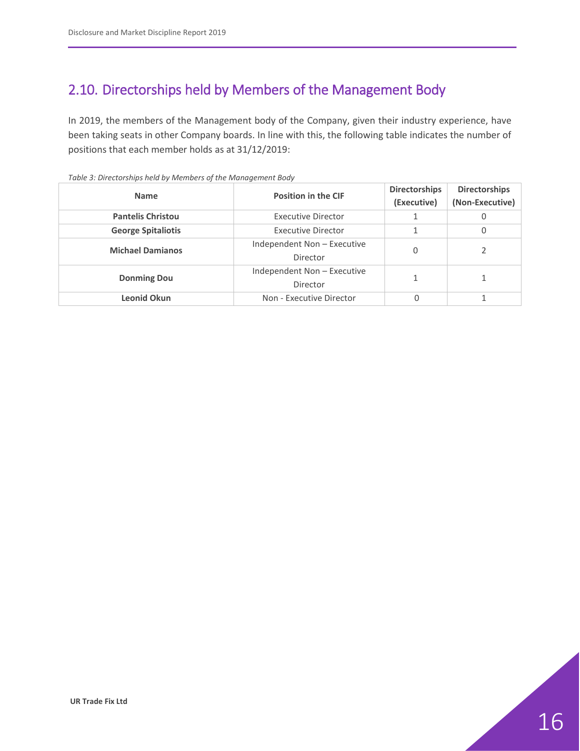# <span id="page-15-0"></span>2.10. Directorships held by Members of the Management Body

In 2019, the members of the Management body of the Company, given their industry experience, have been taking seats in other Company boards. In line with this, the following table indicates the number of positions that each member holds as at 31/12/2019:

| <b>Name</b>               | <b>Position in the CIF</b>              | <b>Directorships</b><br>(Executive) | <b>Directorships</b><br>(Non-Executive) |
|---------------------------|-----------------------------------------|-------------------------------------|-----------------------------------------|
| <b>Pantelis Christou</b>  | <b>Executive Director</b>               |                                     | 0                                       |
| <b>George Spitaliotis</b> | <b>Executive Director</b>               |                                     | 0                                       |
| <b>Michael Damianos</b>   | Independent Non - Executive<br>Director | 0                                   |                                         |
| <b>Donming Dou</b>        | Independent Non - Executive<br>Director |                                     |                                         |
| Leonid Okun               | Non - Executive Director                | 0                                   |                                         |

<span id="page-15-1"></span>*Table 3: Directorships held by Members of the Management Body*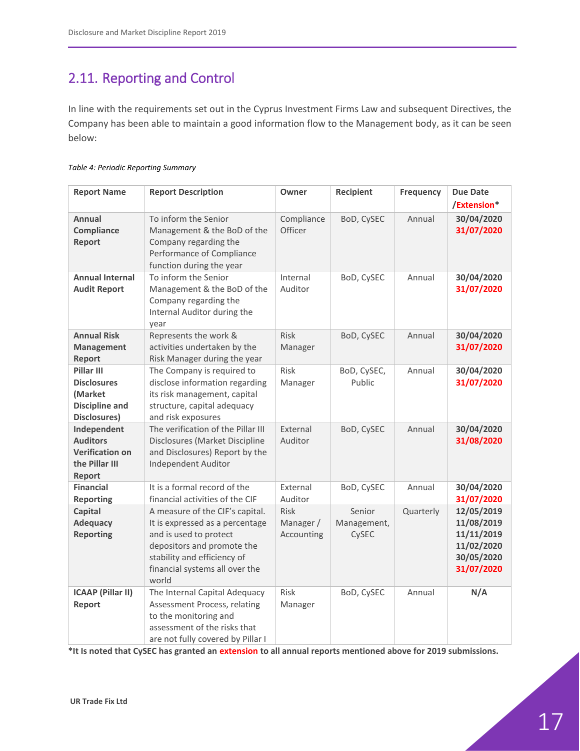# <span id="page-16-0"></span>2.11. Reporting and Control

In line with the requirements set out in the Cyprus Investment Firms Law and subsequent Directives, the Company has been able to maintain a good information flow to the Management body, as it can be seen below:

#### <span id="page-16-1"></span>*Table 4: Periodic Reporting Summary*

| <b>Report Name</b>                                                                   | <b>Report Description</b>                                                                                                                                                                            | Owner                           | Recipient                      | <b>Frequency</b> | <b>Due Date</b>                                                                  |
|--------------------------------------------------------------------------------------|------------------------------------------------------------------------------------------------------------------------------------------------------------------------------------------------------|---------------------------------|--------------------------------|------------------|----------------------------------------------------------------------------------|
|                                                                                      |                                                                                                                                                                                                      |                                 |                                |                  | /Extension*                                                                      |
| Annual<br>Compliance<br><b>Report</b>                                                | To inform the Senior<br>Management & the BoD of the<br>Company regarding the<br>Performance of Compliance<br>function during the year                                                                | Compliance<br>Officer           | BoD, CySEC                     | Annual           | 30/04/2020<br>31/07/2020                                                         |
| <b>Annual Internal</b><br><b>Audit Report</b>                                        | To inform the Senior<br>Management & the BoD of the<br>Company regarding the<br>Internal Auditor during the<br>year                                                                                  | Internal<br>Auditor             | BoD, CySEC                     | Annual           | 30/04/2020<br>31/07/2020                                                         |
| <b>Annual Risk</b><br><b>Management</b><br>Report                                    | Represents the work &<br>activities undertaken by the<br>Risk Manager during the year                                                                                                                | Risk<br>Manager                 | BoD, CySEC                     | Annual           | 30/04/2020<br>31/07/2020                                                         |
| Pillar III<br><b>Disclosures</b><br>(Market<br><b>Discipline and</b><br>Disclosures) | The Company is required to<br>disclose information regarding<br>its risk management, capital<br>structure, capital adequacy<br>and risk exposures                                                    | Risk<br>Manager                 | BoD, CySEC,<br>Public          | Annual           | 30/04/2020<br>31/07/2020                                                         |
| Independent<br><b>Auditors</b><br><b>Verification on</b><br>the Pillar III<br>Report | The verification of the Pillar III<br>Disclosures (Market Discipline<br>and Disclosures) Report by the<br>Independent Auditor                                                                        | External<br>Auditor             | BoD, CySEC                     | Annual           | 30/04/2020<br>31/08/2020                                                         |
| <b>Financial</b><br><b>Reporting</b>                                                 | It is a formal record of the<br>financial activities of the CIF                                                                                                                                      | External<br>Auditor             | BoD, CySEC                     | Annual           | 30/04/2020<br>31/07/2020                                                         |
| Capital<br><b>Adequacy</b><br><b>Reporting</b>                                       | A measure of the CIF's capital.<br>It is expressed as a percentage<br>and is used to protect<br>depositors and promote the<br>stability and efficiency of<br>financial systems all over the<br>world | Risk<br>Manager /<br>Accounting | Senior<br>Management,<br>CySEC | Quarterly        | 12/05/2019<br>11/08/2019<br>11/11/2019<br>11/02/2020<br>30/05/2020<br>31/07/2020 |
| <b>ICAAP (Pillar II)</b><br>Report                                                   | The Internal Capital Adequacy<br>Assessment Process, relating<br>to the monitoring and<br>assessment of the risks that<br>are not fully covered by Pillar I                                          | Risk<br>Manager                 | BoD, CySEC                     | Annual           | N/A                                                                              |

**\*It Is noted that CySEC has granted an extension to all annual reports mentioned above for 2019 submissions.**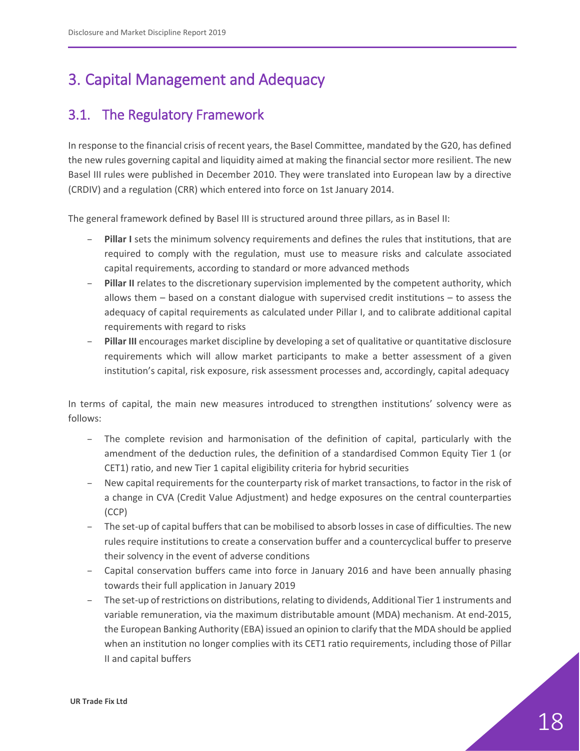# <span id="page-17-0"></span>3. Capital Management and Adequacy

## <span id="page-17-1"></span>3.1. The Regulatory Framework

In response to the financial crisis of recent years, the Basel Committee, mandated by the G20, has defined the new rules governing capital and liquidity aimed at making the financial sector more resilient. The new Basel III rules were published in December 2010. They were translated into European law by a directive (CRDIV) and a regulation (CRR) which entered into force on 1st January 2014.

The general framework defined by Basel III is structured around three pillars, as in Basel II:

- **Pillar I** sets the minimum solvency requirements and defines the rules that institutions, that are required to comply with the regulation, must use to measure risks and calculate associated capital requirements, according to standard or more advanced methods
- **Pillar II** relates to the discretionary supervision implemented by the competent authority, which allows them – based on a constant dialogue with supervised credit institutions – to assess the adequacy of capital requirements as calculated under Pillar I, and to calibrate additional capital requirements with regard to risks
- **Pillar III** encourages market discipline by developing a set of qualitative or quantitative disclosure requirements which will allow market participants to make a better assessment of a given institution's capital, risk exposure, risk assessment processes and, accordingly, capital adequacy

In terms of capital, the main new measures introduced to strengthen institutions' solvency were as follows:

- The complete revision and harmonisation of the definition of capital, particularly with the amendment of the deduction rules, the definition of a standardised Common Equity Tier 1 (or CET1) ratio, and new Tier 1 capital eligibility criteria for hybrid securities
- New capital requirements for the counterparty risk of market transactions, to factor in the risk of a change in CVA (Credit Value Adjustment) and hedge exposures on the central counterparties (CCP)
- The set-up of capital buffers that can be mobilised to absorb losses in case of difficulties. The new rules require institutions to create a conservation buffer and a countercyclical buffer to preserve their solvency in the event of adverse conditions
- Capital conservation buffers came into force in January 2016 and have been annually phasing towards their full application in January 2019
- The set-up of restrictions on distributions, relating to dividends, Additional Tier 1 instruments and variable remuneration, via the maximum distributable amount (MDA) mechanism. At end-2015, the European Banking Authority (EBA) issued an opinion to clarify that the MDA should be applied when an institution no longer complies with its CET1 ratio requirements, including those of Pillar II and capital buffers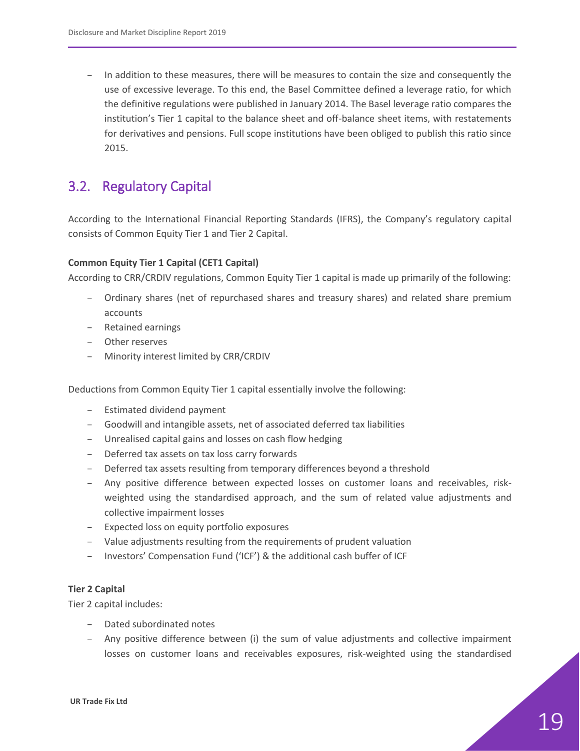– In addition to these measures, there will be measures to contain the size and consequently the use of excessive leverage. To this end, the Basel Committee defined a leverage ratio, for which the definitive regulations were published in January 2014. The Basel leverage ratio compares the institution's Tier 1 capital to the balance sheet and off-balance sheet items, with restatements for derivatives and pensions. Full scope institutions have been obliged to publish this ratio since 2015.

### <span id="page-18-0"></span>3.2. Regulatory Capital

According to the International Financial Reporting Standards (IFRS), the Company's regulatory capital consists of Common Equity Tier 1 and Tier 2 Capital.

#### **Common Equity Tier 1 Capital (CET1 Capital)**

According to CRR/CRDIV regulations, Common Equity Tier 1 capital is made up primarily of the following:

- Ordinary shares (net of repurchased shares and treasury shares) and related share premium accounts
- Retained earnings
- Other reserves
- Minority interest limited by CRR/CRDIV

Deductions from Common Equity Tier 1 capital essentially involve the following:

- Estimated dividend payment
- Goodwill and intangible assets, net of associated deferred tax liabilities
- Unrealised capital gains and losses on cash flow hedging
- Deferred tax assets on tax loss carry forwards
- Deferred tax assets resulting from temporary differences beyond a threshold
- Any positive difference between expected losses on customer loans and receivables, riskweighted using the standardised approach, and the sum of related value adjustments and collective impairment losses
- Expected loss on equity portfolio exposures
- Value adjustments resulting from the requirements of prudent valuation
- Investors' Compensation Fund ('ICF') & the additional cash buffer of ICF

#### **Tier 2 Capital**

Tier 2 capital includes:

- Dated subordinated notes
- Any positive difference between (i) the sum of value adjustments and collective impairment losses on customer loans and receivables exposures, risk-weighted using the standardised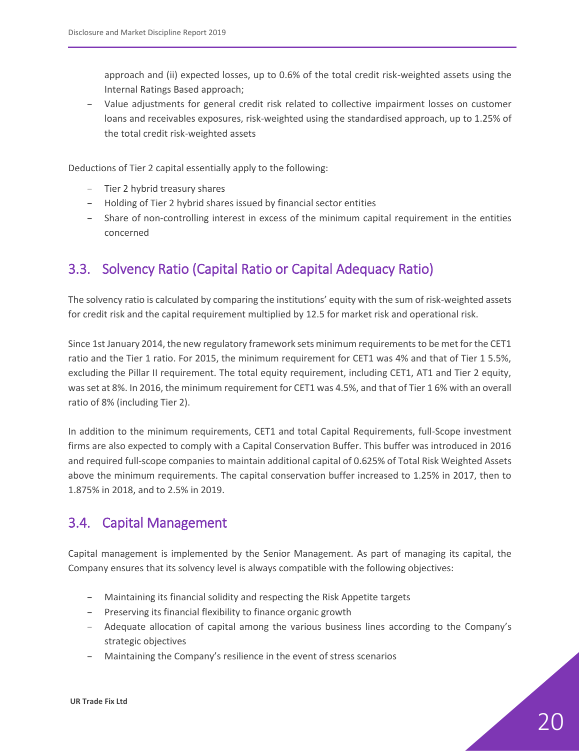approach and (ii) expected losses, up to 0.6% of the total credit risk-weighted assets using the Internal Ratings Based approach;

– Value adjustments for general credit risk related to collective impairment losses on customer loans and receivables exposures, risk-weighted using the standardised approach, up to 1.25% of the total credit risk-weighted assets

Deductions of Tier 2 capital essentially apply to the following:

- Tier 2 hybrid treasury shares
- Holding of Tier 2 hybrid shares issued by financial sector entities
- Share of non-controlling interest in excess of the minimum capital requirement in the entities concerned

## <span id="page-19-0"></span>3.3. Solvency Ratio (Capital Ratio or Capital Adequacy Ratio)

The solvency ratio is calculated by comparing the institutions' equity with the sum of risk-weighted assets for credit risk and the capital requirement multiplied by 12.5 for market risk and operational risk.

Since 1st January 2014, the new regulatory framework sets minimum requirements to be met for the CET1 ratio and the Tier 1 ratio. For 2015, the minimum requirement for CET1 was 4% and that of Tier 1 5.5%, excluding the Pillar II requirement. The total equity requirement, including CET1, AT1 and Tier 2 equity, was set at 8%. In 2016, the minimum requirement for CET1 was 4.5%, and that of Tier 1 6% with an overall ratio of 8% (including Tier 2).

In addition to the minimum requirements, CET1 and total Capital Requirements, full-Scope investment firms are also expected to comply with a Capital Conservation Buffer. This buffer was introduced in 2016 and required full-scope companies to maintain additional capital of 0.625% of Total Risk Weighted Assets above the minimum requirements. The capital conservation buffer increased to 1.25% in 2017, then to 1.875% in 2018, and to 2.5% in 2019.

### <span id="page-19-1"></span>3.4. Capital Management

Capital management is implemented by the Senior Management. As part of managing its capital, the Company ensures that its solvency level is always compatible with the following objectives:

- Maintaining its financial solidity and respecting the Risk Appetite targets
- Preserving its financial flexibility to finance organic growth
- Adequate allocation of capital among the various business lines according to the Company's strategic objectives
- Maintaining the Company's resilience in the event of stress scenarios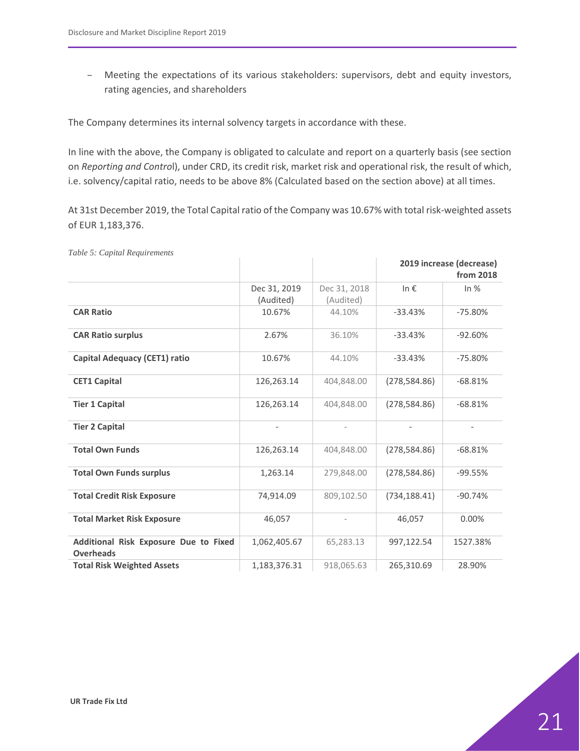– Meeting the expectations of its various stakeholders: supervisors, debt and equity investors, rating agencies, and shareholders

The Company determines its internal solvency targets in accordance with these.

In line with the above, the Company is obligated to calculate and report on a quarterly basis (see section on *Reporting and Contro*l), under CRD, its credit risk, market risk and operational risk, the result of which, i.e. solvency/capital ratio, needs to be above 8% (Calculated based on the section above) at all times.

At 31st December 2019, the Total Capital ratio of the Company was 10.67% with total risk-weighted assets of EUR 1,183,376.

|                                                           |                           |                           |               | 2019 increase (decrease)<br>from 2018 |
|-----------------------------------------------------------|---------------------------|---------------------------|---------------|---------------------------------------|
|                                                           | Dec 31, 2019<br>(Audited) | Dec 31, 2018<br>(Audited) | In $\epsilon$ | In $%$                                |
| <b>CAR Ratio</b>                                          | 10.67%                    | 44.10%                    | $-33.43%$     | $-75.80%$                             |
| <b>CAR Ratio surplus</b>                                  | 2.67%                     | 36.10%                    | $-33.43%$     | $-92.60%$                             |
| <b>Capital Adequacy (CET1) ratio</b>                      | 10.67%                    | 44.10%                    | $-33.43%$     | $-75.80%$                             |
| <b>CET1 Capital</b>                                       | 126,263.14                | 404,848.00                | (278, 584.86) | $-68.81%$                             |
| <b>Tier 1 Capital</b>                                     | 126,263.14                | 404,848.00                | (278, 584.86) | $-68.81%$                             |
| <b>Tier 2 Capital</b>                                     |                           |                           |               |                                       |
| <b>Total Own Funds</b>                                    | 126,263.14                | 404,848.00                | (278, 584.86) | $-68.81%$                             |
| <b>Total Own Funds surplus</b>                            | 1,263.14                  | 279,848.00                | (278, 584.86) | $-99.55%$                             |
| <b>Total Credit Risk Exposure</b>                         | 74,914.09                 | 809,102.50                | (734, 188.41) | $-90.74%$                             |
| <b>Total Market Risk Exposure</b>                         | 46,057                    |                           | 46.057        | 0.00%                                 |
| Additional Risk Exposure Due to Fixed<br><b>Overheads</b> | 1,062,405.67              | 65,283.13                 | 997,122.54    | 1527.38%                              |
| <b>Total Risk Weighted Assets</b>                         | 1,183,376.31              | 918,065.63                | 265,310.69    | 28.90%                                |

<span id="page-20-0"></span>*Table 5: Capital Requirements*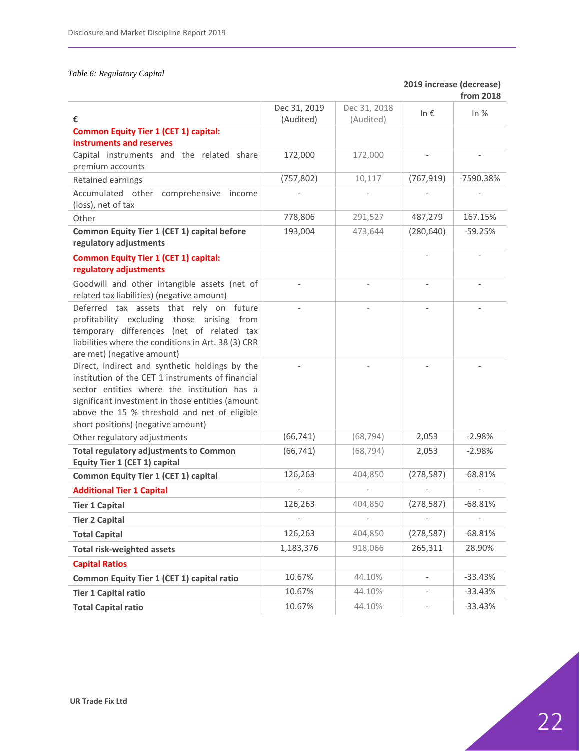#### <span id="page-21-0"></span>*Table 6: Regulatory Capital*

#### **2019 increase (decrease) from 2018**

| €                                                                                                                                                                                                                                                                                            | Dec 31, 2019<br>(Audited) | Dec 31, 2018<br>(Audited) | In $\epsilon$            | In $%$    |
|----------------------------------------------------------------------------------------------------------------------------------------------------------------------------------------------------------------------------------------------------------------------------------------------|---------------------------|---------------------------|--------------------------|-----------|
| <b>Common Equity Tier 1 (CET 1) capital:</b>                                                                                                                                                                                                                                                 |                           |                           |                          |           |
| instruments and reserves                                                                                                                                                                                                                                                                     |                           |                           |                          |           |
| Capital instruments and the related share<br>premium accounts                                                                                                                                                                                                                                | 172,000                   | 172,000                   |                          |           |
| Retained earnings                                                                                                                                                                                                                                                                            | (757, 802)                | 10,117                    | (767, 919)               | -7590.38% |
| Accumulated other comprehensive<br>income<br>(loss), net of tax                                                                                                                                                                                                                              |                           |                           |                          |           |
| Other                                                                                                                                                                                                                                                                                        | 778,806                   | 291,527                   | 487,279                  | 167.15%   |
| Common Equity Tier 1 (CET 1) capital before<br>regulatory adjustments                                                                                                                                                                                                                        | 193,004                   | 473,644                   | (280, 640)               | $-59.25%$ |
| <b>Common Equity Tier 1 (CET 1) capital:</b><br>regulatory adjustments                                                                                                                                                                                                                       |                           |                           |                          |           |
| Goodwill and other intangible assets (net of<br>related tax liabilities) (negative amount)                                                                                                                                                                                                   |                           |                           | $\overline{\phantom{a}}$ |           |
| Deferred tax assets that rely on future<br>profitability excluding those arising from<br>temporary differences (net of related tax<br>liabilities where the conditions in Art. 38 (3) CRR<br>are met) (negative amount)                                                                      |                           |                           | $\overline{\phantom{a}}$ |           |
| Direct, indirect and synthetic holdings by the<br>institution of the CET 1 instruments of financial<br>sector entities where the institution has a<br>significant investment in those entities (amount<br>above the 15 % threshold and net of eligible<br>short positions) (negative amount) |                           |                           |                          |           |
| Other regulatory adjustments                                                                                                                                                                                                                                                                 | (66, 741)                 | (68, 794)                 | 2,053                    | $-2.98%$  |
| <b>Total regulatory adjustments to Common</b><br>Equity Tier 1 (CET 1) capital                                                                                                                                                                                                               | (66, 741)                 | (68, 794)                 | 2,053                    | $-2.98%$  |
| <b>Common Equity Tier 1 (CET 1) capital</b>                                                                                                                                                                                                                                                  | 126,263                   | 404,850                   | (278, 587)               | $-68.81%$ |
| <b>Additional Tier 1 Capital</b>                                                                                                                                                                                                                                                             |                           |                           |                          |           |
| <b>Tier 1 Capital</b>                                                                                                                                                                                                                                                                        | 126,263                   | 404,850                   | (278, 587)               | $-68.81%$ |
| <b>Tier 2 Capital</b>                                                                                                                                                                                                                                                                        |                           |                           |                          |           |
| <b>Total Capital</b>                                                                                                                                                                                                                                                                         | 126,263                   | 404,850                   | (278, 587)               | $-68.81%$ |
| <b>Total risk-weighted assets</b>                                                                                                                                                                                                                                                            | 1,183,376                 | 918,066                   | 265,311                  | 28.90%    |
| <b>Capital Ratios</b>                                                                                                                                                                                                                                                                        |                           |                           |                          |           |
| Common Equity Tier 1 (CET 1) capital ratio                                                                                                                                                                                                                                                   | 10.67%                    | 44.10%                    | $\overline{\phantom{a}}$ | $-33.43%$ |
| <b>Tier 1 Capital ratio</b>                                                                                                                                                                                                                                                                  | 10.67%                    | 44.10%                    | $\overline{\phantom{a}}$ | $-33.43%$ |
| <b>Total Capital ratio</b>                                                                                                                                                                                                                                                                   | 10.67%                    | 44.10%                    | $\overline{\phantom{a}}$ | $-33.43%$ |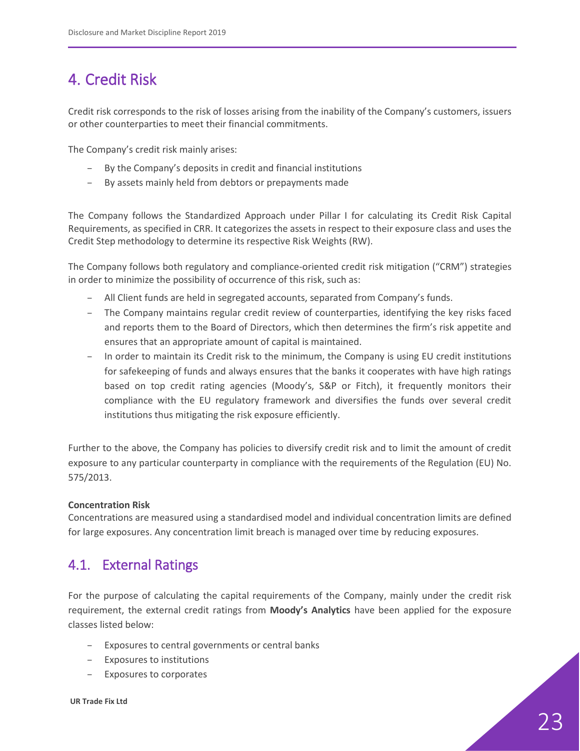# <span id="page-22-0"></span>4. Credit Risk

Credit risk corresponds to the risk of losses arising from the inability of the Company's customers, issuers or other counterparties to meet their financial commitments.

The Company's credit risk mainly arises:

- By the Company's deposits in credit and financial institutions
- By assets mainly held from debtors or prepayments made

The Company follows the Standardized Approach under Pillar I for calculating its Credit Risk Capital Requirements, as specified in CRR. It categorizes the assets in respect to their exposure class and uses the Credit Step methodology to determine its respective Risk Weights (RW).

The Company follows both regulatory and compliance-oriented credit risk mitigation ("CRM") strategies in order to minimize the possibility of occurrence of this risk, such as:

- All Client funds are held in segregated accounts, separated from Company's funds.
- The Company maintains regular credit review of counterparties, identifying the key risks faced and reports them to the Board of Directors, which then determines the firm's risk appetite and ensures that an appropriate amount of capital is maintained.
- In order to maintain its Credit risk to the minimum, the Company is using EU credit institutions for safekeeping of funds and always ensures that the banks it cooperates with have high ratings based on top credit rating agencies (Moody's, S&P or Fitch), it frequently monitors their compliance with the EU regulatory framework and diversifies the funds over several credit institutions thus mitigating the risk exposure efficiently.

Further to the above, the Company has policies to diversify credit risk and to limit the amount of credit exposure to any particular counterparty in compliance with the requirements of the Regulation (EU) No. 575/2013.

#### **Concentration Risk**

Concentrations are measured using a standardised model and individual concentration limits are defined for large exposures. Any concentration limit breach is managed over time by reducing exposures.

### <span id="page-22-1"></span>4.1. External Ratings

For the purpose of calculating the capital requirements of the Company, mainly under the credit risk requirement, the external credit ratings from **Moody's Analytics** have been applied for the exposure classes listed below:

- Exposures to central governments or central banks
- Exposures to institutions
- Exposures to corporates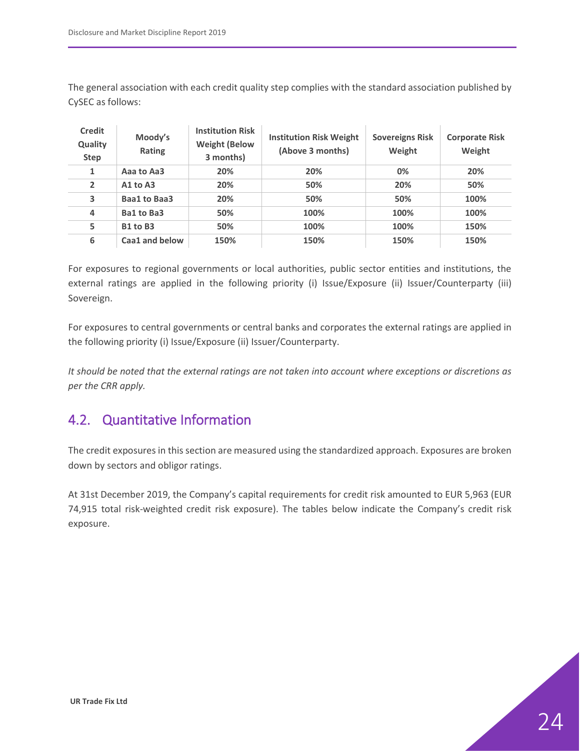The general association with each credit quality step complies with the standard association published by CySEC as follows:

| <b>Credit</b><br>Quality<br><b>Step</b> | Moody's<br>Rating | <b>Institution Risk</b><br><b>Weight (Below</b><br>3 months) | <b>Institution Risk Weight</b><br>(Above 3 months) | <b>Sovereigns Risk</b><br>Weight | <b>Corporate Risk</b><br>Weight |
|-----------------------------------------|-------------------|--------------------------------------------------------------|----------------------------------------------------|----------------------------------|---------------------------------|
| 1                                       | Aaa to Aa3        | 20%                                                          | 20%                                                | 0%                               | 20%                             |
| $\overline{2}$                          | $A1$ to $A3$      | 20%                                                          | 50%                                                | 20%                              | 50%                             |
| 3                                       | Baa1 to Baa3      | 20%                                                          | 50%                                                | 50%                              | 100%                            |
| 4                                       | Ba1 to Ba3        | 50%                                                          | 100%                                               | 100%                             | 100%                            |
| 5                                       | B1 to B3          | 50%                                                          | 100%                                               | 100%                             | 150%                            |
| 6                                       | Caa1 and below    | 150%                                                         | 150%                                               | 150%                             | 150%                            |

For exposures to regional governments or local authorities, public sector entities and institutions, the external ratings are applied in the following priority (i) Issue/Exposure (ii) Issuer/Counterparty (iii) Sovereign.

For exposures to central governments or central banks and corporates the external ratings are applied in the following priority (i) Issue/Exposure (ii) Issuer/Counterparty.

*It should be noted that the external ratings are not taken into account where exceptions or discretions as per the CRR apply.*

## <span id="page-23-0"></span>4.2. Quantitative Information

The credit exposures in this section are measured using the standardized approach. Exposures are broken down by sectors and obligor ratings.

At 31st December 2019, the Company's capital requirements for credit risk amounted to EUR 5,963 (EUR 74,915 total risk-weighted credit risk exposure). The tables below indicate the Company's credit risk exposure.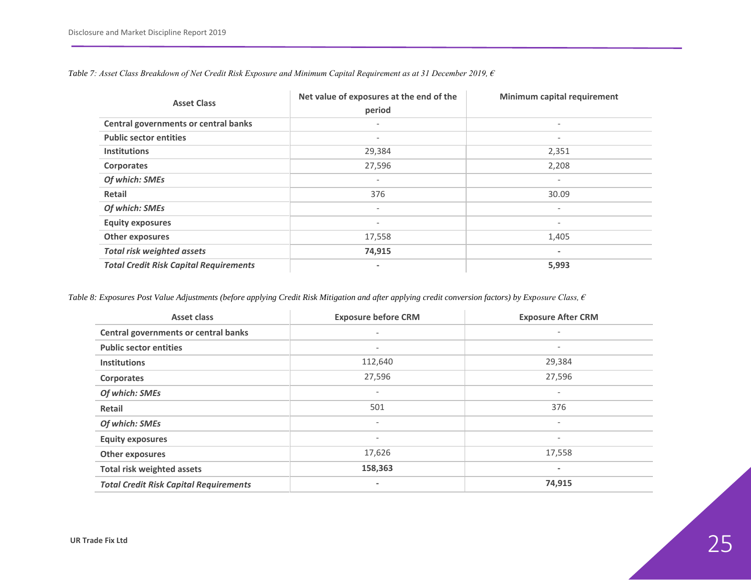| <b>Asset Class</b>                            | Net value of exposures at the end of the<br>period | Minimum capital requirement |
|-----------------------------------------------|----------------------------------------------------|-----------------------------|
| Central governments or central banks          | $\overline{\phantom{0}}$                           | $\overline{\phantom{a}}$    |
| <b>Public sector entities</b>                 | $\overline{\phantom{0}}$                           | $\overline{\phantom{a}}$    |
| <b>Institutions</b>                           | 29,384                                             | 2,351                       |
| <b>Corporates</b>                             | 27,596                                             | 2,208                       |
| Of which: SMEs                                | $\overline{\phantom{0}}$                           | $\overline{\phantom{a}}$    |
| Retail                                        | 376                                                | 30.09                       |
| Of which: SMEs                                | $\overline{\phantom{a}}$                           | $\overline{\phantom{a}}$    |
| <b>Equity exposures</b>                       | $\overline{\phantom{a}}$                           | $\overline{\phantom{a}}$    |
| Other exposures                               | 17,558                                             | 1,405                       |
| <b>Total risk weighted assets</b>             | 74,915                                             | $\overline{\phantom{a}}$    |
| <b>Total Credit Risk Capital Requirements</b> |                                                    | 5,993                       |

*Table 7: Asset Class Breakdown of Net Credit Risk Exposure and Minimum Capital Requirement as at 31 December 2019, €* 

<span id="page-24-0"></span>*Table 8: Exposures Post Value Adjustments (before applying Credit Risk Mitigation and after applying credit conversion factors) by Exposure Class, €* 

<span id="page-24-1"></span>

| <b>Asset class</b>                            | <b>Exposure before CRM</b> | <b>Exposure After CRM</b> |
|-----------------------------------------------|----------------------------|---------------------------|
| Central governments or central banks          | $\overline{\phantom{a}}$   | $\overline{\phantom{0}}$  |
| <b>Public sector entities</b>                 | $\overline{\phantom{a}}$   | -                         |
| <b>Institutions</b>                           | 112,640                    | 29,384                    |
| Corporates                                    | 27,596                     | 27,596                    |
| Of which: SMEs                                | $\overline{\phantom{a}}$   | $\overline{\phantom{0}}$  |
| <b>Retail</b>                                 | 501                        | 376                       |
| Of which: SMEs                                | $\overline{\phantom{a}}$   | $\overline{\phantom{0}}$  |
| <b>Equity exposures</b>                       | $\overline{\phantom{a}}$   | ۰                         |
| Other exposures                               | 17,626                     | 17,558                    |
| <b>Total risk weighted assets</b>             | 158,363                    |                           |
| <b>Total Credit Risk Capital Requirements</b> |                            | 74,915                    |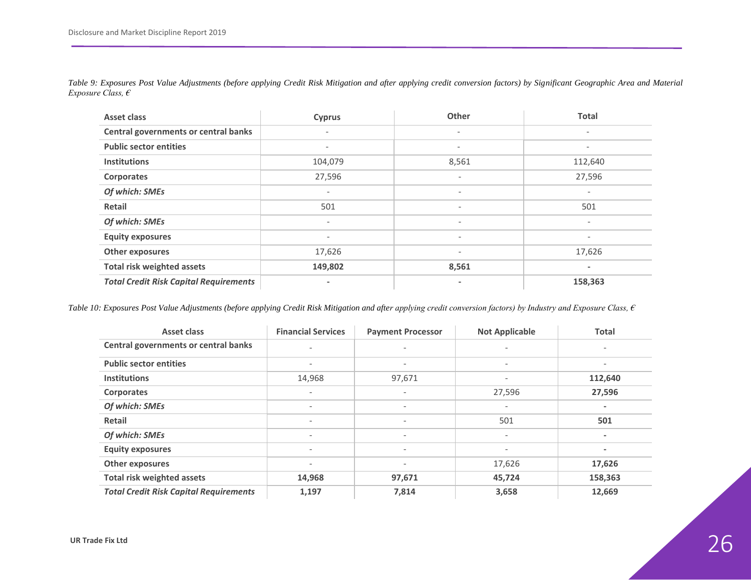| <b>Asset class</b>                            | <b>Cyprus</b>            | Other                    | <b>Total</b>             |
|-----------------------------------------------|--------------------------|--------------------------|--------------------------|
| Central governments or central banks          | $\overline{\phantom{0}}$ | $\overline{\phantom{a}}$ | $\overline{\phantom{a}}$ |
| <b>Public sector entities</b>                 | $\overline{\phantom{m}}$ | $\overline{\phantom{a}}$ | $\overline{\phantom{a}}$ |
| <b>Institutions</b>                           | 104,079                  | 8,561                    | 112,640                  |
| Corporates                                    | 27,596                   | $\overline{\phantom{a}}$ | 27,596                   |
| Of which: SMEs                                | $\overline{\phantom{a}}$ | $\overline{\phantom{a}}$ | $\overline{\phantom{a}}$ |
| <b>Retail</b>                                 | 501                      | $\overline{\phantom{a}}$ | 501                      |
| Of which: SMEs                                | $\overline{\phantom{a}}$ | $\overline{\phantom{a}}$ |                          |
| <b>Equity exposures</b>                       | $\overline{\phantom{a}}$ | $\qquad \qquad -$        | $\overline{\phantom{a}}$ |
| Other exposures                               | 17,626                   | $\overline{\phantom{a}}$ | 17,626                   |
| <b>Total risk weighted assets</b>             | 149,802                  | 8,561                    | ٠                        |
| <b>Total Credit Risk Capital Requirements</b> | $\blacksquare$           | $\blacksquare$           | 158,363                  |

*Table 9: Exposures Post Value Adjustments (before applying Credit Risk Mitigation and after applying credit conversion factors) by Significant Geographic Area and Material Exposure Class, €* 

<span id="page-25-0"></span>*Table 10: Exposures Post Value Adjustments (before applying Credit Risk Mitigation and after applying credit conversion factors) by Industry and Exposure Class, €* 

<span id="page-25-1"></span>

| Asset class                                   | <b>Financial Services</b> | <b>Payment Processor</b> | <b>Not Applicable</b>    | <b>Total</b>             |
|-----------------------------------------------|---------------------------|--------------------------|--------------------------|--------------------------|
| Central governments or central banks          |                           | $\overline{\phantom{a}}$ | $\overline{\phantom{a}}$ |                          |
| <b>Public sector entities</b>                 | $\qquad \qquad -$         | $\overline{\phantom{a}}$ | $\overline{\phantom{a}}$ |                          |
| <b>Institutions</b>                           | 14,968                    | 97,671                   | ٠                        | 112,640                  |
| <b>Corporates</b>                             | $\qquad \qquad -$         | $\overline{\phantom{a}}$ | 27,596                   | 27,596                   |
| Of which: SMEs                                | $\qquad \qquad -$         | $\overline{\phantom{a}}$ | $\overline{\phantom{a}}$ |                          |
| <b>Retail</b>                                 | $\qquad \qquad -$         | $\overline{\phantom{a}}$ | 501                      | 501                      |
| Of which: SMEs                                | $\qquad \qquad$           | $\overline{\phantom{a}}$ | $\overline{\phantom{a}}$ |                          |
| <b>Equity exposures</b>                       | $\qquad \qquad$           | $\overline{\phantom{a}}$ | $\overline{\phantom{a}}$ | $\overline{\phantom{a}}$ |
| Other exposures                               | $\qquad \qquad -$         | $\overline{\phantom{a}}$ | 17,626                   | 17,626                   |
| <b>Total risk weighted assets</b>             | 14,968                    | 97,671                   | 45,724                   | 158,363                  |
| <b>Total Credit Risk Capital Requirements</b> | 1,197                     | 7,814                    | 3,658                    | 12,669                   |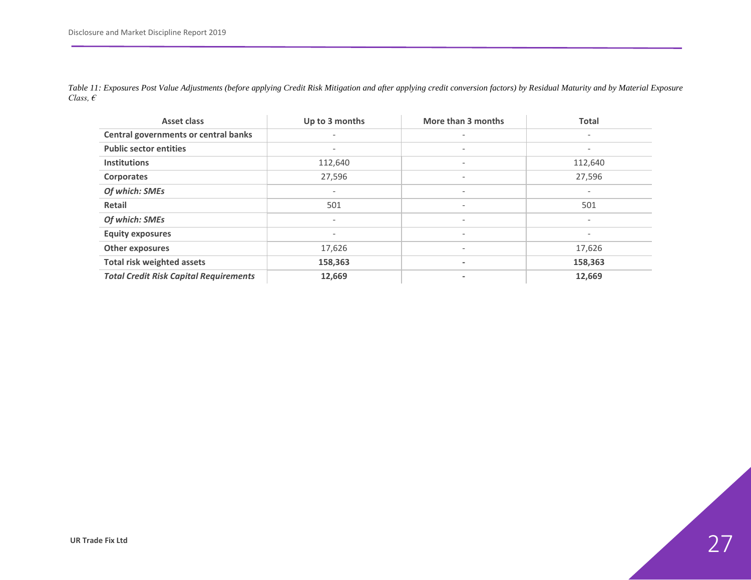<span id="page-26-0"></span>

| <b>Asset class</b>                            | Up to 3 months           | More than 3 months       | <b>Total</b>             |
|-----------------------------------------------|--------------------------|--------------------------|--------------------------|
| Central governments or central banks          |                          | $\overline{\phantom{a}}$ | $\overline{\phantom{a}}$ |
| <b>Public sector entities</b>                 | $\qquad \qquad -$        | $\overline{\phantom{a}}$ | $\overline{\phantom{a}}$ |
| <b>Institutions</b>                           | 112,640                  | $\overline{\phantom{a}}$ | 112,640                  |
| <b>Corporates</b>                             | 27,596                   | $\overline{\phantom{a}}$ | 27,596                   |
| Of which: SMEs                                | $\overline{\phantom{a}}$ | $\overline{\phantom{a}}$ | $\overline{\phantom{a}}$ |
| Retail                                        | 501                      | $\overline{\phantom{a}}$ | 501                      |
| Of which: SMEs                                | $\overline{\phantom{a}}$ | $\overline{\phantom{a}}$ | $\overline{\phantom{a}}$ |
| <b>Equity exposures</b>                       | $\overline{\phantom{a}}$ | $\overline{\phantom{a}}$ | $\overline{\phantom{a}}$ |
| <b>Other exposures</b>                        | 17,626                   | $\overline{\phantom{a}}$ | 17,626                   |
| <b>Total risk weighted assets</b>             | 158,363                  | ٠                        | 158,363                  |
| <b>Total Credit Risk Capital Requirements</b> | 12,669                   | $\overline{\phantom{a}}$ | 12,669                   |

*Table 11: Exposures Post Value Adjustments (before applying Credit Risk Mitigation and after applying credit conversion factors) by Residual Maturity and by Material Exposure Class, €*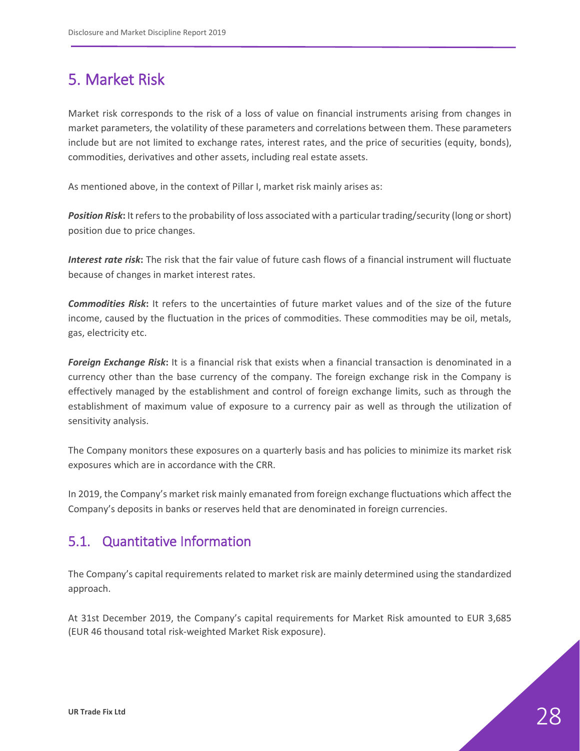# <span id="page-27-0"></span>5. Market Risk

Market risk corresponds to the risk of a loss of value on financial instruments arising from changes in market parameters, the volatility of these parameters and correlations between them. These parameters include but are not limited to exchange rates, interest rates, and the price of securities (equity, bonds), commodities, derivatives and other assets, including real estate assets.

As mentioned above, in the context of Pillar I, market risk mainly arises as:

*Position Risk***:** It refers to the probability of loss associated with a particular trading/security (long or short) position due to price changes.

*Interest rate risk***:** The risk that the fair value of future cash flows of a financial instrument will fluctuate because of changes in market interest rates.

*Commodities Risk***:** It refers to the uncertainties of future market values and of the size of the future income, caused by the fluctuation in the prices of commodities. These commodities may be oil, metals, gas, electricity etc.

*Foreign Exchange Risk***:** It is a financial risk that exists when a financial transaction is denominated in a currency other than the base currency of the company. The foreign exchange risk in the Company is effectively managed by the establishment and control of foreign exchange limits, such as through the establishment of maximum value of exposure to a currency pair as well as through the utilization of sensitivity analysis.

The Company monitors these exposures on a quarterly basis and has policies to minimize its market risk exposures which are in accordance with the CRR.

In 2019, the Company's market risk mainly emanated from foreign exchange fluctuations which affect the Company's deposits in banks or reserves held that are denominated in foreign currencies.

### <span id="page-27-1"></span>5.1. Quantitative Information

The Company's capital requirements related to market risk are mainly determined using the standardized approach.

At 31st December 2019, the Company's capital requirements for Market Risk amounted to EUR 3,685 (EUR 46 thousand total risk-weighted Market Risk exposure).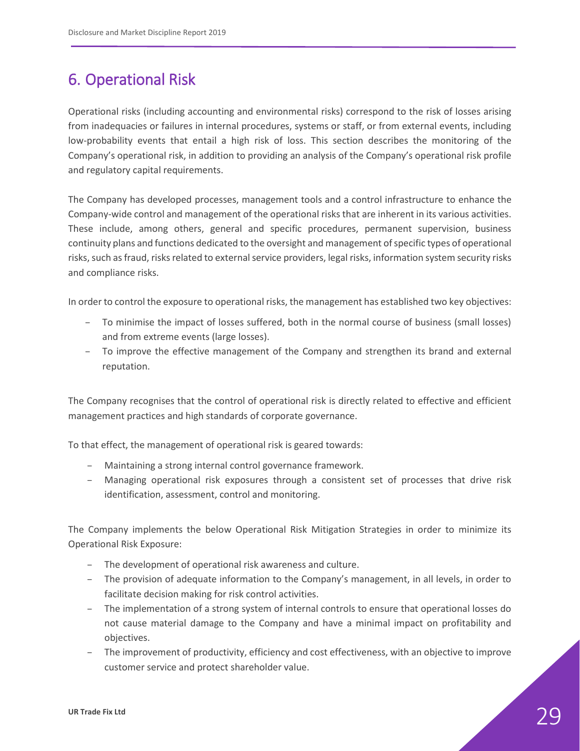# <span id="page-28-0"></span>6. Operational Risk

Operational risks (including accounting and environmental risks) correspond to the risk of losses arising from inadequacies or failures in internal procedures, systems or staff, or from external events, including low-probability events that entail a high risk of loss. This section describes the monitoring of the Company's operational risk, in addition to providing an analysis of the Company's operational risk profile and regulatory capital requirements.

The Company has developed processes, management tools and a control infrastructure to enhance the Company-wide control and management of the operational risks that are inherent in its various activities. These include, among others, general and specific procedures, permanent supervision, business continuity plans and functions dedicated to the oversight and management of specific types of operational risks, such as fraud, risks related to external service providers, legal risks, information system security risks and compliance risks.

In order to control the exposure to operational risks, the management has established two key objectives:

- To minimise the impact of losses suffered, both in the normal course of business (small losses) and from extreme events (large losses).
- To improve the effective management of the Company and strengthen its brand and external reputation.

The Company recognises that the control of operational risk is directly related to effective and efficient management practices and high standards of corporate governance.

To that effect, the management of operational risk is geared towards:

- Maintaining a strong internal control governance framework.
- Managing operational risk exposures through a consistent set of processes that drive risk identification, assessment, control and monitoring.

The Company implements the below Operational Risk Mitigation Strategies in order to minimize its Operational Risk Exposure:

- The development of operational risk awareness and culture.
- The provision of adequate information to the Company's management, in all levels, in order to facilitate decision making for risk control activities.
- The implementation of a strong system of internal controls to ensure that operational losses do not cause material damage to the Company and have a minimal impact on profitability and objectives.
- The improvement of productivity, efficiency and cost effectiveness, with an objective to improve customer service and protect shareholder value.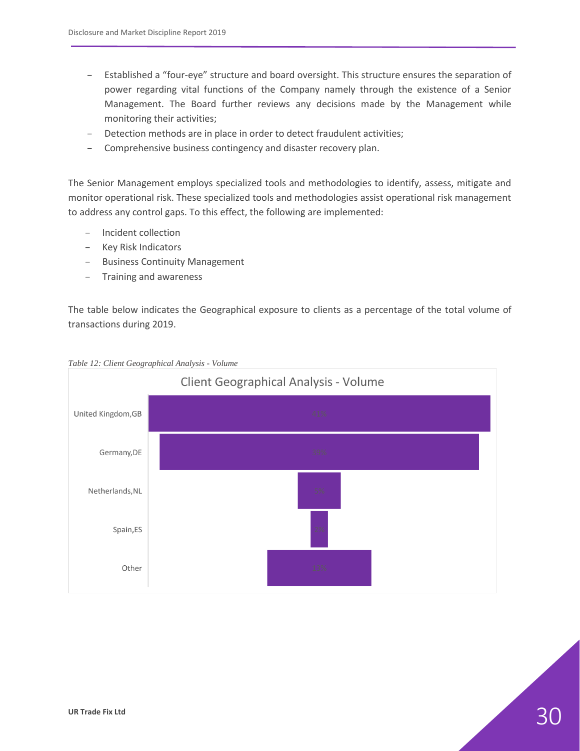- Established a "four-eye" structure and board oversight. This structure ensures the separation of power regarding vital functions of the Company namely through the existence of a Senior Management. The Board further reviews any decisions made by the Management while monitoring their activities;
- Detection methods are in place in order to detect fraudulent activities;
- Comprehensive business contingency and disaster recovery plan.

The Senior Management employs specialized tools and methodologies to identify, assess, mitigate and monitor operational risk. These specialized tools and methodologies assist operational risk management to address any control gaps. To this effect, the following are implemented:

- Incident collection
- Key Risk Indicators
- Business Continuity Management
- Training and awareness

The table below indicates the Geographical exposure to clients as a percentage of the total volume of transactions during 2019.



<span id="page-29-0"></span>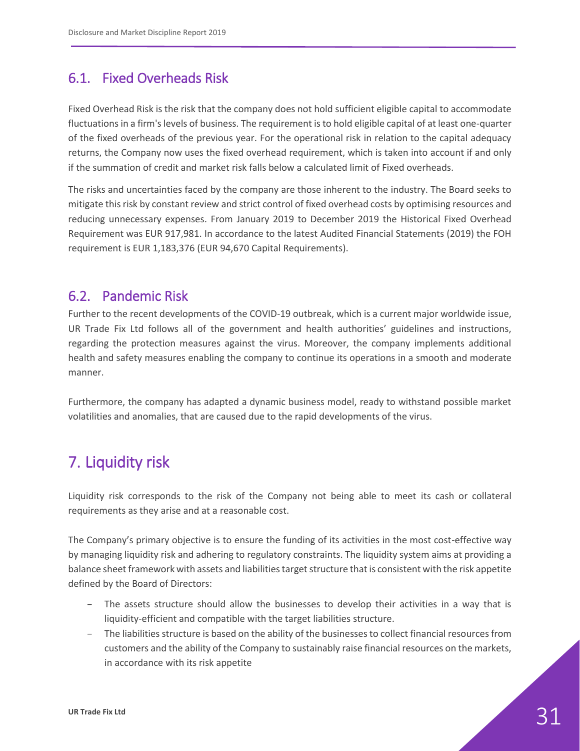### <span id="page-30-0"></span>6.1. Fixed Overheads Risk

Fixed Overhead Risk is the risk that the company does not hold sufficient eligible capital to accommodate fluctuations in a firm's levels of business. The requirement is to hold eligible capital of at least one-quarter of the fixed overheads of the previous year. For the operational risk in relation to the capital adequacy returns, the Company now uses the fixed overhead requirement, which is taken into account if and only if the summation of credit and market risk falls below a calculated limit of Fixed overheads.

The risks and uncertainties faced by the company are those inherent to the industry. The Board seeks to mitigate this risk by constant review and strict control of fixed overhead costs by optimising resources and reducing unnecessary expenses. From January 2019 to December 2019 the Historical Fixed Overhead Requirement was EUR 917,981. In accordance to the latest Audited Financial Statements (2019) the FOH requirement is EUR 1,183,376 (EUR 94,670 Capital Requirements).

### <span id="page-30-1"></span>6.2. Pandemic Risk

Further to the recent developments of the COVID-19 outbreak, which is a current major worldwide issue, UR Trade Fix Ltd follows all of the government and health authorities' guidelines and instructions, regarding the protection measures against the virus. Moreover, the company implements additional health and safety measures enabling the company to continue its operations in a smooth and moderate manner.

Furthermore, the company has adapted a dynamic business model, ready to withstand possible market volatilities and anomalies, that are caused due to the rapid developments of the virus.

# <span id="page-30-2"></span>7. Liquidity risk

Liquidity risk corresponds to the risk of the Company not being able to meet its cash or collateral requirements as they arise and at a reasonable cost.

The Company's primary objective is to ensure the funding of its activities in the most cost-effective way by managing liquidity risk and adhering to regulatory constraints. The liquidity system aims at providing a balance sheet framework with assets and liabilities target structure that is consistent with the risk appetite defined by the Board of Directors:

- The assets structure should allow the businesses to develop their activities in a way that is liquidity-efficient and compatible with the target liabilities structure.
- The liabilities structure is based on the ability of the businesses to collect financial resources from customers and the ability of the Company to sustainably raise financial resources on the markets, in accordance with its risk appetite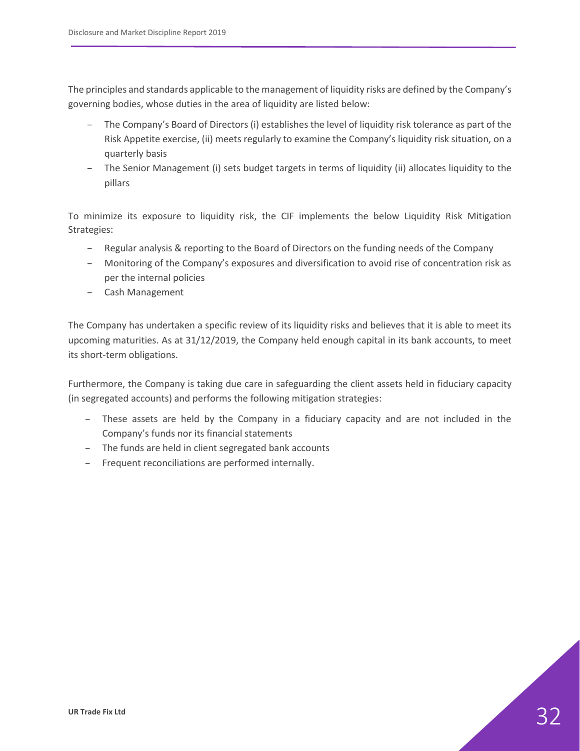The principles and standards applicable to the management of liquidity risks are defined by the Company's governing bodies, whose duties in the area of liquidity are listed below:

- The Company's Board of Directors (i) establishes the level of liquidity risk tolerance as part of the Risk Appetite exercise, (ii) meets regularly to examine the Company's liquidity risk situation, on a quarterly basis
- The Senior Management (i) sets budget targets in terms of liquidity (ii) allocates liquidity to the pillars

To minimize its exposure to liquidity risk, the CIF implements the below Liquidity Risk Mitigation Strategies:

- Regular analysis & reporting to the Board of Directors on the funding needs of the Company
- Monitoring of the Company's exposures and diversification to avoid rise of concentration risk as per the internal policies
- Cash Management

The Company has undertaken a specific review of its liquidity risks and believes that it is able to meet its upcoming maturities. As at 31/12/2019, the Company held enough capital in its bank accounts, to meet its short-term obligations.

Furthermore, the Company is taking due care in safeguarding the client assets held in fiduciary capacity (in segregated accounts) and performs the following mitigation strategies:

- These assets are held by the Company in a fiduciary capacity and are not included in the Company's funds nor its financial statements
- The funds are held in client segregated bank accounts
- Frequent reconciliations are performed internally.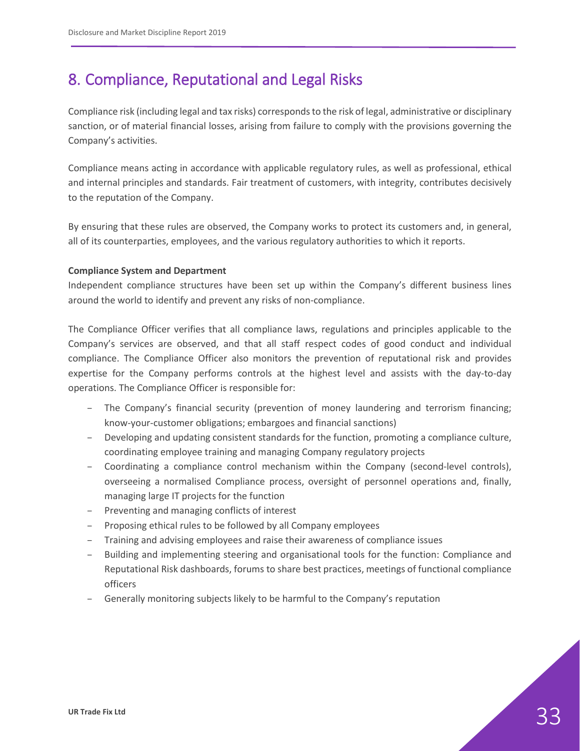# <span id="page-32-0"></span>8. Compliance, Reputational and Legal Risks

Compliance risk (including legal and tax risks) corresponds to the risk of legal, administrative or disciplinary sanction, or of material financial losses, arising from failure to comply with the provisions governing the Company's activities.

Compliance means acting in accordance with applicable regulatory rules, as well as professional, ethical and internal principles and standards. Fair treatment of customers, with integrity, contributes decisively to the reputation of the Company.

By ensuring that these rules are observed, the Company works to protect its customers and, in general, all of its counterparties, employees, and the various regulatory authorities to which it reports.

#### **Compliance System and Department**

Independent compliance structures have been set up within the Company's different business lines around the world to identify and prevent any risks of non-compliance.

The Compliance Officer verifies that all compliance laws, regulations and principles applicable to the Company's services are observed, and that all staff respect codes of good conduct and individual compliance. The Compliance Officer also monitors the prevention of reputational risk and provides expertise for the Company performs controls at the highest level and assists with the day-to-day operations. The Compliance Officer is responsible for:

- The Company's financial security (prevention of money laundering and terrorism financing; know-your-customer obligations; embargoes and financial sanctions)
- Developing and updating consistent standards for the function, promoting a compliance culture, coordinating employee training and managing Company regulatory projects
- Coordinating a compliance control mechanism within the Company (second-level controls), overseeing a normalised Compliance process, oversight of personnel operations and, finally, managing large IT projects for the function
- Preventing and managing conflicts of interest
- Proposing ethical rules to be followed by all Company employees
- Training and advising employees and raise their awareness of compliance issues
- Building and implementing steering and organisational tools for the function: Compliance and Reputational Risk dashboards, forums to share best practices, meetings of functional compliance officers
- Generally monitoring subjects likely to be harmful to the Company's reputation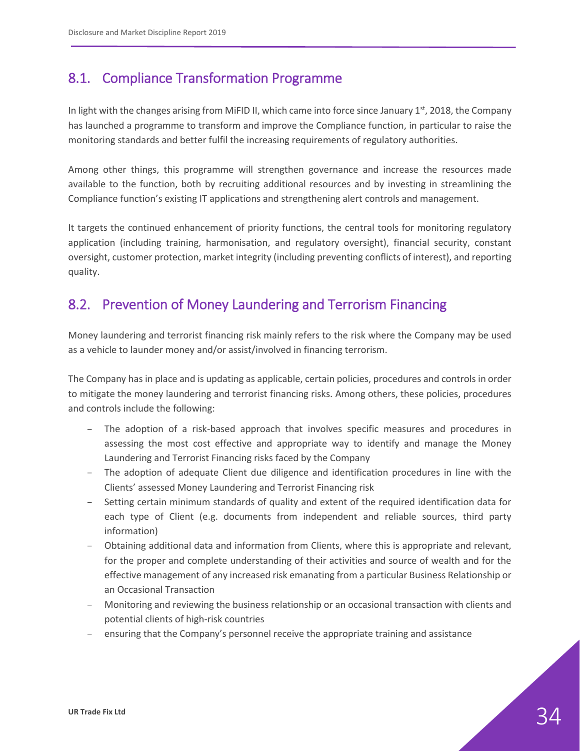### <span id="page-33-0"></span>8.1. Compliance Transformation Programme

In light with the changes arising from MiFID II, which came into force since January 1<sup>st</sup>, 2018, the Company has launched a programme to transform and improve the Compliance function, in particular to raise the monitoring standards and better fulfil the increasing requirements of regulatory authorities.

Among other things, this programme will strengthen governance and increase the resources made available to the function, both by recruiting additional resources and by investing in streamlining the Compliance function's existing IT applications and strengthening alert controls and management.

It targets the continued enhancement of priority functions, the central tools for monitoring regulatory application (including training, harmonisation, and regulatory oversight), financial security, constant oversight, customer protection, market integrity (including preventing conflicts of interest), and reporting quality.

### <span id="page-33-1"></span>8.2. Prevention of Money Laundering and Terrorism Financing

Money laundering and terrorist financing risk mainly refers to the risk where the Company may be used as a vehicle to launder money and/or assist/involved in financing terrorism.

The Company has in place and is updating as applicable, certain policies, procedures and controls in order to mitigate the money laundering and terrorist financing risks. Among others, these policies, procedures and controls include the following:

- The adoption of a risk-based approach that involves specific measures and procedures in assessing the most cost effective and appropriate way to identify and manage the Money Laundering and Terrorist Financing risks faced by the Company
- The adoption of adequate Client due diligence and identification procedures in line with the Clients' assessed Money Laundering and Terrorist Financing risk
- Setting certain minimum standards of quality and extent of the required identification data for each type of Client (e.g. documents from independent and reliable sources, third party information)
- Obtaining additional data and information from Clients, where this is appropriate and relevant, for the proper and complete understanding of their activities and source of wealth and for the effective management of any increased risk emanating from a particular Business Relationship or an Occasional Transaction
- Monitoring and reviewing the business relationship or an occasional transaction with clients and potential clients of high-risk countries
- ensuring that the Company's personnel receive the appropriate training and assistance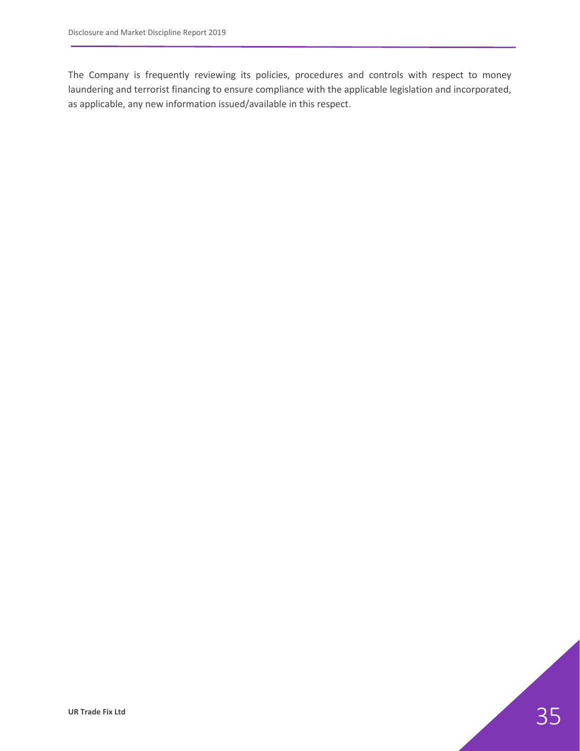The Company is frequently reviewing its policies, procedures and controls with respect to money laundering and terrorist financing to ensure compliance with the applicable legislation and incorporated, as applicable, any new information issued/available in this respect.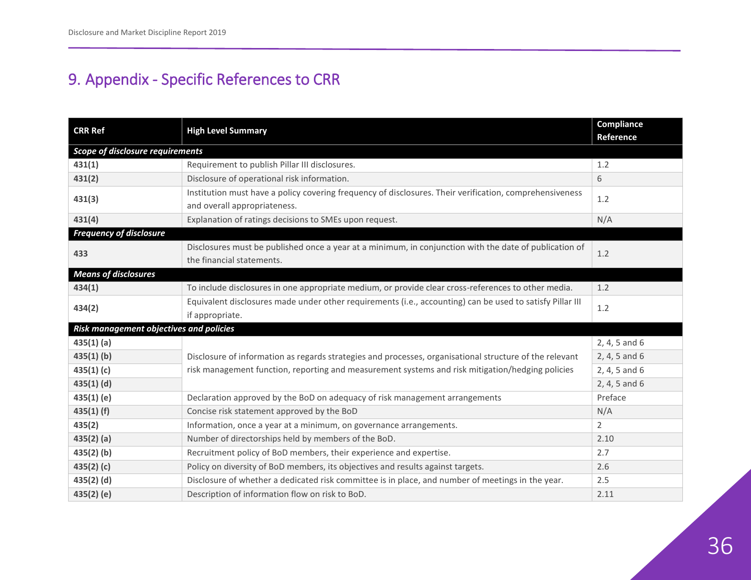# 9. Appendix - Specific References to CRR

<span id="page-35-0"></span>

| <b>CRR Ref</b>                          | <b>High Level Summary</b>                                                                                                               | Compliance<br><b>Reference</b> |  |  |  |
|-----------------------------------------|-----------------------------------------------------------------------------------------------------------------------------------------|--------------------------------|--|--|--|
|                                         | <b>Scope of disclosure requirements</b>                                                                                                 |                                |  |  |  |
| 431(1)                                  | Requirement to publish Pillar III disclosures.                                                                                          | 1.2                            |  |  |  |
| 431(2)                                  | Disclosure of operational risk information.                                                                                             | 6                              |  |  |  |
| 431(3)                                  | Institution must have a policy covering frequency of disclosures. Their verification, comprehensiveness<br>and overall appropriateness. | 1.2                            |  |  |  |
| 431(4)                                  | Explanation of ratings decisions to SMEs upon request.                                                                                  | N/A                            |  |  |  |
| <b>Frequency of disclosure</b>          |                                                                                                                                         |                                |  |  |  |
| 433                                     | Disclosures must be published once a year at a minimum, in conjunction with the date of publication of<br>the financial statements.     | $1.2$                          |  |  |  |
| <b>Means of disclosures</b>             |                                                                                                                                         |                                |  |  |  |
| 434(1)                                  | To include disclosures in one appropriate medium, or provide clear cross-references to other media.                                     | 1.2                            |  |  |  |
| 434(2)                                  | Equivalent disclosures made under other requirements (i.e., accounting) can be used to satisfy Pillar III<br>if appropriate.            | 1.2                            |  |  |  |
| Risk management objectives and policies |                                                                                                                                         |                                |  |  |  |
| 435(1)(a)                               |                                                                                                                                         | 2, 4, 5 and 6                  |  |  |  |
| $435(1)$ (b)                            | Disclosure of information as regards strategies and processes, organisational structure of the relevant                                 | 2, 4, 5 and 6                  |  |  |  |
| 435(1)(c)                               | risk management function, reporting and measurement systems and risk mitigation/hedging policies                                        | 2, 4, 5 and 6                  |  |  |  |
| $435(1)$ (d)                            |                                                                                                                                         | 2, 4, 5 and 6                  |  |  |  |
| 435(1)(e)                               | Declaration approved by the BoD on adequacy of risk management arrangements                                                             | Preface                        |  |  |  |
| $435(1)$ (f)                            | Concise risk statement approved by the BoD                                                                                              | N/A                            |  |  |  |
| 435(2)                                  | Information, once a year at a minimum, on governance arrangements.                                                                      | $\overline{2}$                 |  |  |  |
| $435(2)$ (a)                            | Number of directorships held by members of the BoD.                                                                                     | 2.10                           |  |  |  |
| $435(2)$ (b)                            | Recruitment policy of BoD members, their experience and expertise.                                                                      | 2.7                            |  |  |  |
| 435(2)(c)                               | Policy on diversity of BoD members, its objectives and results against targets.                                                         | 2.6                            |  |  |  |
| $435(2)$ (d)                            | Disclosure of whether a dedicated risk committee is in place, and number of meetings in the year.                                       | 2.5                            |  |  |  |
| $435(2)$ (e)                            | Description of information flow on risk to BoD.                                                                                         | 2.11                           |  |  |  |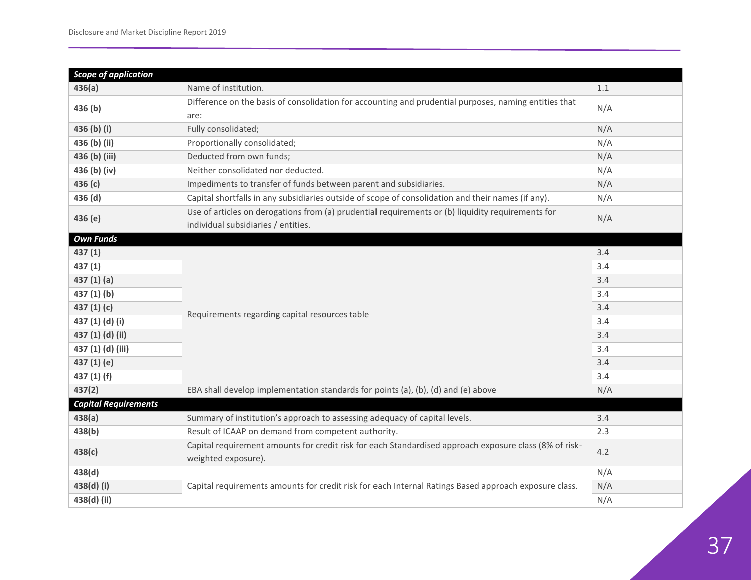| <b>Scope of application</b> |                                                                                                                                          |     |
|-----------------------------|------------------------------------------------------------------------------------------------------------------------------------------|-----|
| 436(a)                      | Name of institution.                                                                                                                     | 1.1 |
| 436 (b)                     | Difference on the basis of consolidation for accounting and prudential purposes, naming entities that<br>are:                            | N/A |
| 436 (b) (i)                 | Fully consolidated;                                                                                                                      | N/A |
| 436 (b) (ii)                | Proportionally consolidated;                                                                                                             | N/A |
| 436 (b) (iii)               | Deducted from own funds;                                                                                                                 | N/A |
| 436 (b) (iv)                | Neither consolidated nor deducted.                                                                                                       | N/A |
| 436 (c)                     | Impediments to transfer of funds between parent and subsidiaries.                                                                        | N/A |
| 436 (d)                     | Capital shortfalls in any subsidiaries outside of scope of consolidation and their names (if any).                                       | N/A |
| 436 (e)                     | Use of articles on derogations from (a) prudential requirements or (b) liquidity requirements for<br>individual subsidiaries / entities. | N/A |
| <b>Own Funds</b>            |                                                                                                                                          |     |
| 437(1)                      |                                                                                                                                          | 3.4 |
| 437(1)                      |                                                                                                                                          | 3.4 |
| 437(1)(a)                   |                                                                                                                                          | 3.4 |
| 437(1)(b)                   |                                                                                                                                          | 3.4 |
| 437 $(1)(c)$                | Requirements regarding capital resources table                                                                                           | 3.4 |
| 437 (1) (d) (i)             |                                                                                                                                          | 3.4 |
| 437 (1) (d) (ii)            |                                                                                                                                          | 3.4 |
| 437 (1) (d) (iii)           |                                                                                                                                          | 3.4 |
| 437 (1) (e)                 |                                                                                                                                          | 3.4 |
| 437 $(1)$ $(f)$             |                                                                                                                                          | 3.4 |
| 437(2)                      | EBA shall develop implementation standards for points (a), (b), (d) and (e) above                                                        | N/A |
| <b>Capital Requirements</b> |                                                                                                                                          |     |
| 438(a)                      | Summary of institution's approach to assessing adequacy of capital levels.                                                               | 3.4 |
| 438(b)                      | Result of ICAAP on demand from competent authority.                                                                                      | 2.3 |
| 438(c)                      | Capital requirement amounts for credit risk for each Standardised approach exposure class (8% of risk-<br>weighted exposure).            | 4.2 |
| 438(d)                      |                                                                                                                                          | N/A |
| 438(d) (i)                  | Capital requirements amounts for credit risk for each Internal Ratings Based approach exposure class.                                    | N/A |
| 438(d) (ii)                 |                                                                                                                                          | N/A |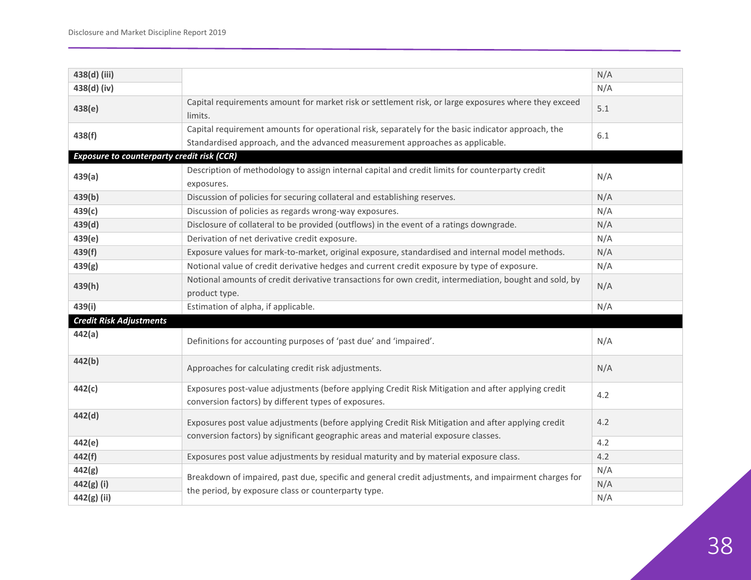| 438(d) (iii)                                      |                                                                                                                                                                                     | N/A |
|---------------------------------------------------|-------------------------------------------------------------------------------------------------------------------------------------------------------------------------------------|-----|
| 438(d) (iv)                                       |                                                                                                                                                                                     | N/A |
| 438(e)                                            | Capital requirements amount for market risk or settlement risk, or large exposures where they exceed<br>limits.                                                                     | 5.1 |
| 438(f)                                            | Capital requirement amounts for operational risk, separately for the basic indicator approach, the<br>Standardised approach, and the advanced measurement approaches as applicable. | 6.1 |
| <b>Exposure to counterparty credit risk (CCR)</b> |                                                                                                                                                                                     |     |
| 439(a)                                            | Description of methodology to assign internal capital and credit limits for counterparty credit<br>exposures.                                                                       | N/A |
| 439(b)                                            | Discussion of policies for securing collateral and establishing reserves.                                                                                                           | N/A |
| 439(c)                                            | Discussion of policies as regards wrong-way exposures.                                                                                                                              | N/A |
| 439(d)                                            | Disclosure of collateral to be provided (outflows) in the event of a ratings downgrade.                                                                                             | N/A |
| 439(e)                                            | Derivation of net derivative credit exposure.                                                                                                                                       | N/A |
| 439(f)                                            | Exposure values for mark-to-market, original exposure, standardised and internal model methods.                                                                                     | N/A |
| 439(g)                                            | Notional value of credit derivative hedges and current credit exposure by type of exposure.                                                                                         | N/A |
| 439(h)                                            | Notional amounts of credit derivative transactions for own credit, intermediation, bought and sold, by<br>product type.                                                             | N/A |
| 439(i)                                            | Estimation of alpha, if applicable.                                                                                                                                                 | N/A |
| <b>Credit Risk Adjustments</b>                    |                                                                                                                                                                                     |     |
| 442(a)                                            | Definitions for accounting purposes of 'past due' and 'impaired'.                                                                                                                   | N/A |
| 442(b)                                            | Approaches for calculating credit risk adjustments.                                                                                                                                 | N/A |
| 442(c)                                            | Exposures post-value adjustments (before applying Credit Risk Mitigation and after applying credit<br>conversion factors) by different types of exposures.                          | 4.2 |
| 442(d)                                            | Exposures post value adjustments (before applying Credit Risk Mitigation and after applying credit                                                                                  | 4.2 |
| 442(e)                                            | conversion factors) by significant geographic areas and material exposure classes.                                                                                                  | 4.2 |
| 442(f)                                            | Exposures post value adjustments by residual maturity and by material exposure class.                                                                                               | 4.2 |
| 442(g)                                            |                                                                                                                                                                                     | N/A |
| 442(g) (i)                                        | Breakdown of impaired, past due, specific and general credit adjustments, and impairment charges for                                                                                | N/A |
| 442(g) (ii)                                       | the period, by exposure class or counterparty type.                                                                                                                                 | N/A |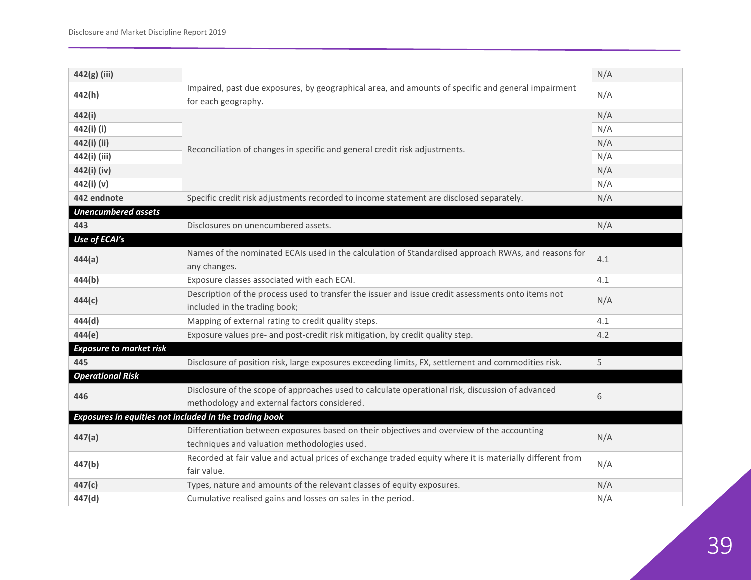| 442(g) (iii)                                           |                                                                                                          | N/A |
|--------------------------------------------------------|----------------------------------------------------------------------------------------------------------|-----|
| 442(h)                                                 | Impaired, past due exposures, by geographical area, and amounts of specific and general impairment       | N/A |
|                                                        | for each geography.                                                                                      |     |
| 442(i)                                                 |                                                                                                          | N/A |
| 442(i) (i)                                             | Reconciliation of changes in specific and general credit risk adjustments.                               | N/A |
| 442(i) (ii)                                            |                                                                                                          | N/A |
| 442(i) (iii)                                           |                                                                                                          | N/A |
| 442(i) (iv)                                            |                                                                                                          | N/A |
| 442(i) (v)                                             |                                                                                                          | N/A |
| 442 endnote                                            | Specific credit risk adjustments recorded to income statement are disclosed separately.                  | N/A |
| <b>Unencumbered assets</b>                             |                                                                                                          |     |
| 443                                                    | Disclosures on unencumbered assets.                                                                      | N/A |
| Use of ECAI's                                          |                                                                                                          |     |
| 444(a)                                                 | Names of the nominated ECAIs used in the calculation of Standardised approach RWAs, and reasons for      | 4.1 |
|                                                        | any changes.                                                                                             |     |
| 444(b)                                                 | Exposure classes associated with each ECAI.                                                              | 4.1 |
| 444(c)                                                 | Description of the process used to transfer the issuer and issue credit assessments onto items not       | N/A |
|                                                        | included in the trading book;                                                                            |     |
| 444(d)                                                 | Mapping of external rating to credit quality steps.                                                      | 4.1 |
| 444(e)                                                 | Exposure values pre- and post-credit risk mitigation, by credit quality step.                            | 4.2 |
| <b>Exposure to market risk</b>                         |                                                                                                          |     |
| 445                                                    | Disclosure of position risk, large exposures exceeding limits, FX, settlement and commodities risk.      | 5   |
| <b>Operational Risk</b>                                |                                                                                                          |     |
|                                                        | Disclosure of the scope of approaches used to calculate operational risk, discussion of advanced         |     |
| 446                                                    | methodology and external factors considered.                                                             | 6   |
| Exposures in equities not included in the trading book |                                                                                                          |     |
| 447(a)                                                 | Differentiation between exposures based on their objectives and overview of the accounting               |     |
|                                                        | techniques and valuation methodologies used.                                                             | N/A |
|                                                        | Recorded at fair value and actual prices of exchange traded equity where it is materially different from |     |
| 447(b)                                                 | fair value.                                                                                              | N/A |
| 447(c)                                                 | Types, nature and amounts of the relevant classes of equity exposures.                                   | N/A |
| 447(d)                                                 | Cumulative realised gains and losses on sales in the period.                                             | N/A |